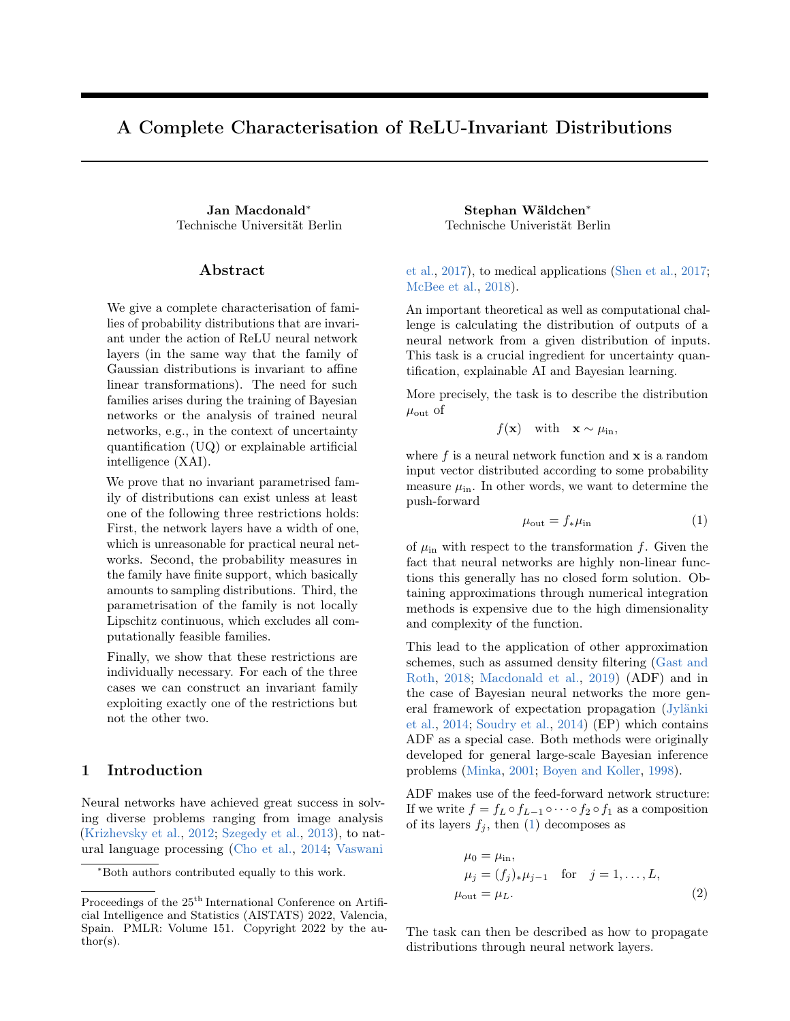# A Complete Characterisation of ReLU-Invariant Distributions

Technische Universität Berlin Technische Univeristät Berlin

### Abstract

We give a complete characterisation of families of probability distributions that are invariant under the action of ReLU neural network layers (in the same way that the family of Gaussian distributions is invariant to affine linear transformations). The need for such families arises during the training of Bayesian networks or the analysis of trained neural networks, e.g., in the context of uncertainty quantification (UQ) or explainable artificial intelligence (XAI).

We prove that no invariant parametrised family of distributions can exist unless at least one of the following three restrictions holds: First, the network layers have a width of one, which is unreasonable for practical neural networks. Second, the probability measures in the family have finite support, which basically amounts to sampling distributions. Third, the parametrisation of the family is not locally Lipschitz continuous, which excludes all computationally feasible families.

Finally, we show that these restrictions are individually necessary. For each of the three cases we can construct an invariant family exploiting exactly one of the restrictions but not the other two.

## 1 Introduction

Neural networks have achieved great success in solving diverse problems ranging from image analysis [\(Krizhevsky et al.,](#page-8-0) [2012;](#page-8-0) [Szegedy et al.,](#page-9-0) [2013\)](#page-9-0), to natural language processing [\(Cho et al.,](#page-8-1) [2014;](#page-8-1) [Vaswani](#page-9-1)

Jan Macdonald<sup>∗</sup> Stephan Wäldchen<sup>∗</sup>

[et al.,](#page-9-1) [2017\)](#page-9-1), to medical applications [\(Shen et al.,](#page-9-2) [2017;](#page-9-2) [McBee et al.,](#page-8-2) [2018\)](#page-8-2).

An important theoretical as well as computational challenge is calculating the distribution of outputs of a neural network from a given distribution of inputs. This task is a crucial ingredient for uncertainty quantification, explainable AI and Bayesian learning.

More precisely, the task is to describe the distribution  $\mu_{\text{out}}$  of

$$
f(\mathbf{x})
$$
 with  $\mathbf{x} \sim \mu_{\text{in}}$ ,

where f is a neural network function and  $x$  is a random input vector distributed according to some probability measure  $\mu_{\rm in}$ . In other words, we want to determine the push-forward

<span id="page-0-0"></span>
$$
\mu_{\text{out}} = f_* \mu_{\text{in}} \tag{1}
$$

of  $\mu_{\text{in}}$  with respect to the transformation f. Given the fact that neural networks are highly non-linear functions this generally has no closed form solution. Obtaining approximations through numerical integration methods is expensive due to the high dimensionality and complexity of the function.

This lead to the application of other approximation schemes, such as assumed density filtering [\(Gast and](#page-8-3) [Roth,](#page-8-3) [2018;](#page-8-3) [Macdonald et al.,](#page-8-4) [2019\)](#page-8-4) (ADF) and in the case of Bayesian neural networks the more general framework of expectation propagation [\(Jylänki](#page-8-5) [et al.,](#page-8-5) [2014;](#page-8-5) [Soudry et al.,](#page-9-3) [2014\)](#page-9-3) (EP) which contains ADF as a special case. Both methods were originally developed for general large-scale Bayesian inference problems [\(Minka,](#page-9-4) [2001;](#page-9-4) [Boyen and Koller,](#page-8-6) [1998\)](#page-8-6).

ADF makes use of the feed-forward network structure: If we write  $f = f_L \circ f_{L-1} \circ \cdots \circ f_2 \circ f_1$  as a composition of its layers  $f_j$ , then [\(1\)](#page-0-0) decomposes as

<span id="page-0-1"></span>
$$
\mu_0 = \mu_{in},
$$
  
\n $\mu_j = (f_j)_* \mu_{j-1}$  for  $j = 1, ..., L,$   
\n $\mu_{out} = \mu_L.$  (2)

The task can then be described as how to propagate distributions through neural network layers.

<sup>∗</sup>[Both authors contributed equally to this work.](#page-9-1)

Proceedings of the  $25<sup>th</sup>$  International Conference on Artificial Intelligence and Statistics (AISTATS) 2022, Valencia, Spain. PMLR: Volume 151. Copyright 2022 by the author(s).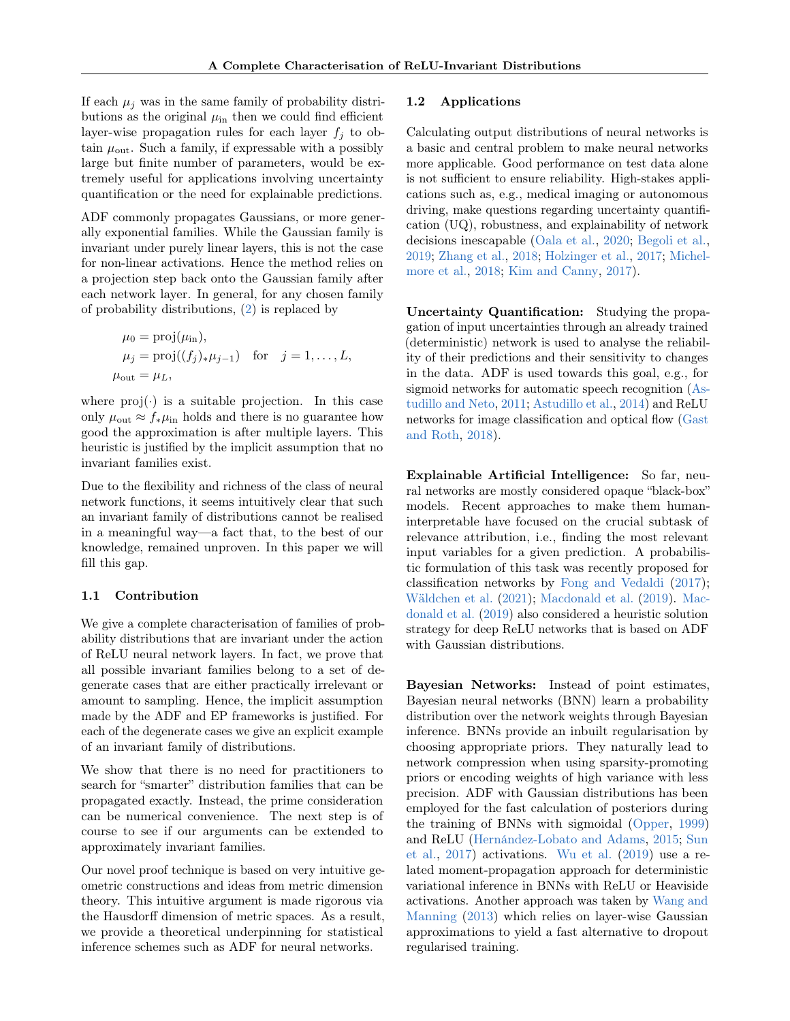If each  $\mu_i$  was in the same family of probability distributions as the original  $\mu_{\text{in}}$  then we could find efficient layer-wise propagation rules for each layer  $f_j$  to obtain  $\mu_{\text{out}}$ . Such a family, if expressable with a possibly large but finite number of parameters, would be extremely useful for applications involving uncertainty quantification or the need for explainable predictions.

ADF commonly propagates Gaussians, or more generally exponential families. While the Gaussian family is invariant under purely linear layers, this is not the case for non-linear activations. Hence the method relies on a projection step back onto the Gaussian family after each network layer. In general, for any chosen family of probability distributions, [\(2\)](#page-0-1) is replaced by

$$
\mu_0 = \text{proj}(\mu_{\text{in}}),
$$
  
\n
$$
\mu_j = \text{proj}((f_j)_*\mu_{j-1}) \text{ for } j = 1, ..., L,
$$
  
\n
$$
\mu_{\text{out}} = \mu_L,
$$

where  $proj(\cdot)$  is a suitable projection. In this case only  $\mu_{\text{out}} \approx f_* \mu_{\text{in}}$  holds and there is no guarantee how good the approximation is after multiple layers. This heuristic is justified by the implicit assumption that no invariant families exist.

Due to the flexibility and richness of the class of neural network functions, it seems intuitively clear that such an invariant family of distributions cannot be realised in a meaningful way—a fact that, to the best of our knowledge, remained unproven. In this paper we will fill this gap.

### 1.1 Contribution

We give a complete characterisation of families of probability distributions that are invariant under the action of ReLU neural network layers. In fact, we prove that all possible invariant families belong to a set of degenerate cases that are either practically irrelevant or amount to sampling. Hence, the implicit assumption made by the ADF and EP frameworks is justified. For each of the degenerate cases we give an explicit example of an invariant family of distributions.

We show that there is no need for practitioners to search for "smarter" distribution families that can be propagated exactly. Instead, the prime consideration can be numerical convenience. The next step is of course to see if our arguments can be extended to approximately invariant families.

Our novel proof technique is based on very intuitive geometric constructions and ideas from metric dimension theory. This intuitive argument is made rigorous via the Hausdorff dimension of metric spaces. As a result, we provide a theoretical underpinning for statistical inference schemes such as ADF for neural networks.

#### 1.2 Applications

Calculating output distributions of neural networks is a basic and central problem to make neural networks more applicable. Good performance on test data alone is not sufficient to ensure reliability. High-stakes applications such as, e.g., medical imaging or autonomous driving, make questions regarding uncertainty quantification (UQ), robustness, and explainability of network decisions inescapable [\(Oala et al.,](#page-9-5) [2020;](#page-9-5) [Begoli et al.,](#page-8-7) [2019;](#page-8-7) [Zhang et al.,](#page-9-6) [2018;](#page-9-6) [Holzinger et al.,](#page-8-8) [2017;](#page-8-8) [Michel](#page-9-7)[more et al.,](#page-9-7) [2018;](#page-9-7) [Kim and Canny,](#page-8-9) [2017\)](#page-8-9).

Uncertainty Quantification: Studying the propagation of input uncertainties through an already trained (deterministic) network is used to analyse the reliability of their predictions and their sensitivity to changes in the data. ADF is used towards this goal, e.g., for sigmoid networks for automatic speech recognition [\(As](#page-8-10)[tudillo and Neto,](#page-8-10) [2011;](#page-8-10) [Astudillo et al.,](#page-8-11) [2014\)](#page-8-11) and ReLU networks for image classification and optical flow [\(Gast](#page-8-3) [and Roth,](#page-8-3) [2018\)](#page-8-3).

Explainable Artificial Intelligence: So far, neural networks are mostly considered opaque "black-box" models. Recent approaches to make them humaninterpretable have focused on the crucial subtask of relevance attribution, i.e., finding the most relevant input variables for a given prediction. A probabilistic formulation of this task was recently proposed for classification networks by [Fong and Vedaldi](#page-8-12) [\(2017\)](#page-8-12); [Wäldchen et al.](#page-9-8) [\(2021\)](#page-9-8); [Macdonald et al.](#page-8-4) [\(2019\)](#page-8-4). [Mac](#page-8-4)[donald et al.](#page-8-4) [\(2019\)](#page-8-4) also considered a heuristic solution strategy for deep ReLU networks that is based on ADF with Gaussian distributions.

Bayesian Networks: Instead of point estimates, Bayesian neural networks (BNN) learn a probability distribution over the network weights through Bayesian inference. BNNs provide an inbuilt regularisation by choosing appropriate priors. They naturally lead to network compression when using sparsity-promoting priors or encoding weights of high variance with less precision. ADF with Gaussian distributions has been employed for the fast calculation of posteriors during the training of BNNs with sigmoidal [\(Opper,](#page-9-9) [1999\)](#page-9-9) and ReLU [\(Hernández-Lobato and Adams,](#page-8-13) [2015;](#page-8-13) [Sun](#page-9-10) [et al.,](#page-9-10) [2017\)](#page-9-10) activations. [Wu et al.](#page-9-11) [\(2019\)](#page-9-11) use a related moment-propagation approach for deterministic variational inference in BNNs with ReLU or Heaviside activations. Another approach was taken by [Wang and](#page-9-12) [Manning](#page-9-12) [\(2013\)](#page-9-12) which relies on layer-wise Gaussian approximations to yield a fast alternative to dropout regularised training.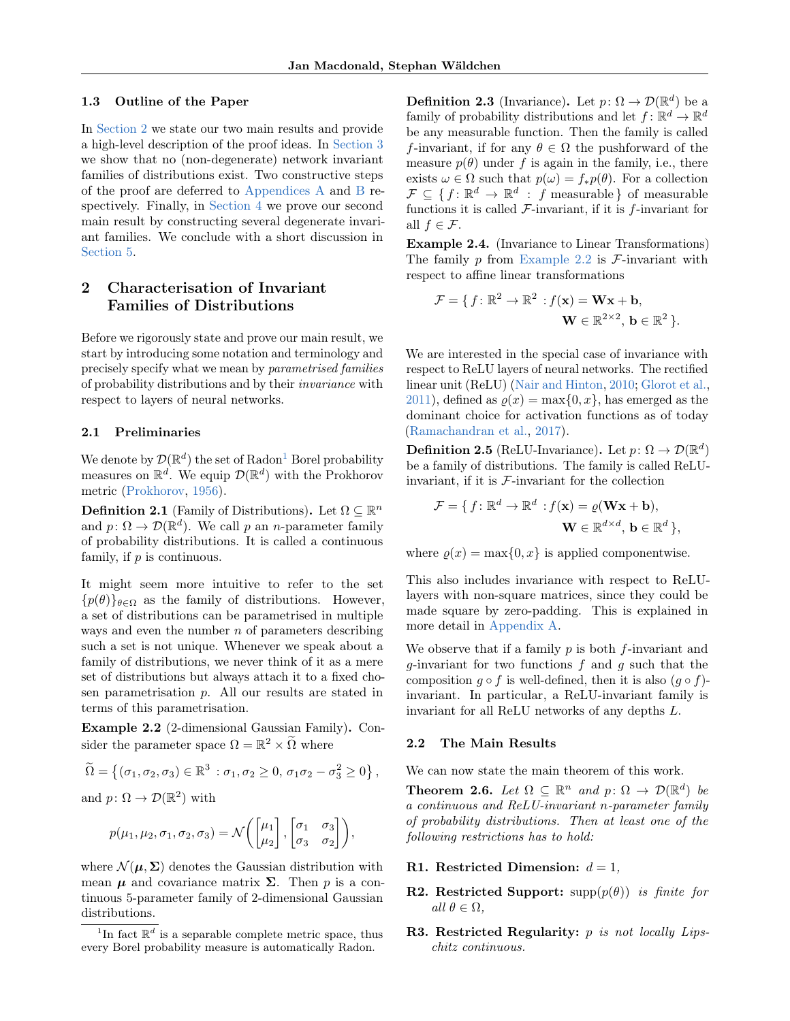### 1.3 Outline of the Paper

In [Section 2](#page-2-0) we state our two main results and provide a high-level description of the proof ideas. In [Section 3](#page-3-0) we show that no (non-degenerate) network invariant families of distributions exist. Two constructive steps of the proof are deferred to [Appendices A](#page-10-0) and [B](#page-16-0) respectively. Finally, in [Section 4](#page-5-0) we prove our second main result by constructing several degenerate invariant families. We conclude with a short discussion in [Section 5.](#page-7-0)

## <span id="page-2-0"></span>2 Characterisation of Invariant Families of Distributions

Before we rigorously state and prove our main result, we start by introducing some notation and terminology and precisely specify what we mean by parametrised families of probability distributions and by their invariance with respect to layers of neural networks.

## 2.1 Preliminaries

We denote by  $\mathcal{D}(\mathbb{R}^d)$  the set of Radon<sup>[1](#page-2-1)</sup> Borel probability measures on  $\mathbb{R}^d$ . We equip  $\mathcal{D}(\mathbb{R}^d)$  with the Prokhorov metric [\(Prokhorov,](#page-9-13) [1956\)](#page-9-13).

**Definition 2.1** (Family of Distributions). Let  $\Omega \subseteq \mathbb{R}^n$ and  $p: \Omega \to \mathcal{D}(\mathbb{R}^d)$ . We call p an n-parameter family of probability distributions. It is called a continuous family, if  $p$  is continuous.

It might seem more intuitive to refer to the set  ${p(\theta)}_{\theta \in \Omega}$  as the family of distributions. However, a set of distributions can be parametrised in multiple ways and even the number  $n$  of parameters describing such a set is not unique. Whenever we speak about a family of distributions, we never think of it as a mere set of distributions but always attach it to a fixed chosen parametrisation  $p$ . All our results are stated in terms of this parametrisation.

<span id="page-2-2"></span>Example 2.2 (2-dimensional Gaussian Family). Consider the parameter space  $\Omega = \mathbb{R}^2 \times \tilde{\Omega}$  where

$$
\widetilde{\Omega} = \left\{ (\sigma_1, \sigma_2, \sigma_3) \in \mathbb{R}^3 : \sigma_1, \sigma_2 \ge 0, \sigma_1 \sigma_2 - \sigma_3^2 \ge 0 \right\},\
$$

and  $p: \Omega \to \mathcal{D}(\mathbb{R}^2)$  with

$$
p(\mu_1, \mu_2, \sigma_1, \sigma_2, \sigma_3) = \mathcal{N}\left(\begin{bmatrix} \mu_1 \\ \mu_2 \end{bmatrix}, \begin{bmatrix} \sigma_1 & \sigma_3 \\ \sigma_3 & \sigma_2 \end{bmatrix}\right),
$$

where  $\mathcal{N}(\mu, \Sigma)$  denotes the Gaussian distribution with mean  $\mu$  and covariance matrix  $\Sigma$ . Then p is a continuous 5-parameter family of 2-dimensional Gaussian distributions.

**Definition 2.3** (Invariance). Let  $p: \Omega \to \mathcal{D}(\mathbb{R}^d)$  be a family of probability distributions and let  $f: \mathbb{R}^d \to \mathbb{R}^d$ be any measurable function. Then the family is called f-invariant, if for any  $\theta \in \Omega$  the pushforward of the measure  $p(\theta)$  under f is again in the family, i.e., there exists  $\omega \in \Omega$  such that  $p(\omega) = f_* p(\theta)$ . For a collection  $\mathcal{F} \subseteq \{f : \mathbb{R}^d \to \mathbb{R}^d : f$  measurable } of measurable functions it is called  $\mathcal{F}$ -invariant, if it is  $f$ -invariant for all  $f \in \mathcal{F}$ .

Example 2.4. (Invariance to Linear Transformations) The family  $p$  from [Example 2.2](#page-2-2) is  $\mathcal{F}\text{-invariant with}$ respect to affine linear transformations

$$
\mathcal{F} = \{ f : \mathbb{R}^2 \to \mathbb{R}^2 : f(\mathbf{x}) = \mathbf{W}\mathbf{x} + \mathbf{b},
$$

$$
\mathbf{W} \in \mathbb{R}^{2 \times 2}, \mathbf{b} \in \mathbb{R}^2 \}.
$$

We are interested in the special case of invariance with respect to ReLU layers of neural networks. The rectified linear unit (ReLU) [\(Nair and Hinton,](#page-9-14) [2010;](#page-9-14) [Glorot et al.,](#page-8-14) [2011\)](#page-8-14), defined as  $\rho(x) = \max\{0, x\}$ , has emerged as the dominant choice for activation functions as of today [\(Ramachandran et al.,](#page-9-15) [2017\)](#page-9-15).

**Definition 2.5** (ReLU-Invariance). Let  $p: \Omega \to \mathcal{D}(\mathbb{R}^d)$ be a family of distributions. The family is called ReLUinvariant, if it is  $F$ -invariant for the collection

$$
\mathcal{F} = \{ f : \mathbb{R}^d \to \mathbb{R}^d : f(\mathbf{x}) = \varrho(\mathbf{W}\mathbf{x} + \mathbf{b}),
$$

$$
\mathbf{W} \in \mathbb{R}^{d \times d}, \mathbf{b} \in \mathbb{R}^d \},
$$

where  $\rho(x) = \max\{0, x\}$  is applied componentwise.

This also includes invariance with respect to ReLUlayers with non-square matrices, since they could be made square by zero-padding. This is explained in more detail in [Appendix A.](#page-10-0)

We observe that if a family  $p$  is both  $f$ -invariant and g-invariant for two functions  $f$  and  $g$  such that the composition  $g \circ f$  is well-defined, then it is also  $(g \circ f)$ invariant. In particular, a ReLU-invariant family is invariant for all ReLU networks of any depths L.

### 2.2 The Main Results

We can now state the main theorem of this work.

<span id="page-2-3"></span>**Theorem 2.6.** Let  $\Omega \subseteq \mathbb{R}^n$  and  $p: \Omega \to \mathcal{D}(\mathbb{R}^d)$  be a continuous and ReLU-invariant n-parameter family of probability distributions. Then at least one of the following restrictions has to hold:

### R1. Restricted Dimension:  $d = 1$ ,

- **R2.** Restricted Support:  $supp(p(\theta))$  is finite for all  $\theta \in \Omega$ ,
- R3. Restricted Regularity: p is not locally Lipschitz continuous.

<span id="page-2-1"></span><sup>&</sup>lt;sup>1</sup>In fact  $\mathbb{R}^d$  is a separable complete metric space, thus every Borel probability measure is automatically Radon.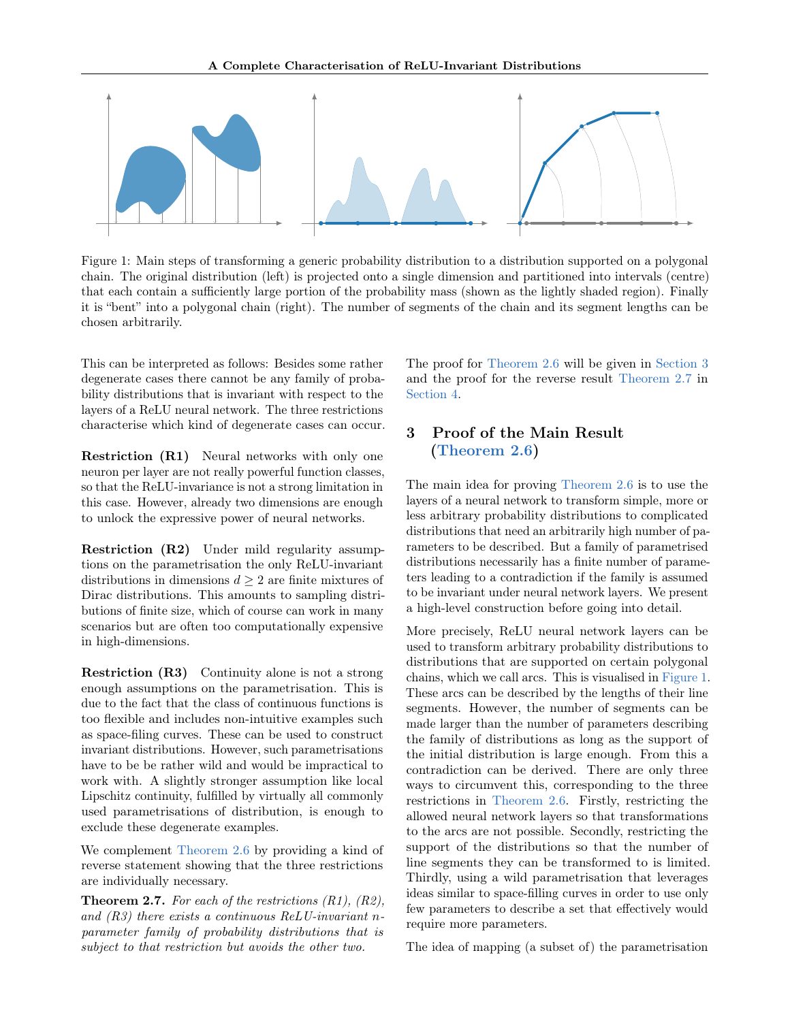

<span id="page-3-2"></span>Figure 1: Main steps of transforming a generic probability distribution to a distribution supported on a polygonal chain. The original distribution (left) is projected onto a single dimension and partitioned into intervals (centre) that each contain a sufficiently large portion of the probability mass (shown as the lightly shaded region). Finally it is "bent" into a polygonal chain (right). The number of segments of the chain and its segment lengths can be chosen arbitrarily.

This can be interpreted as follows: Besides some rather degenerate cases there cannot be any family of probability distributions that is invariant with respect to the layers of a ReLU neural network. The three restrictions characterise which kind of degenerate cases can occur.

Restriction (R1) Neural networks with only one neuron per layer are not really powerful function classes, so that the ReLU-invariance is not a strong limitation in this case. However, already two dimensions are enough to unlock the expressive power of neural networks.

Restriction (R2) Under mild regularity assumptions on the parametrisation the only ReLU-invariant distributions in dimensions  $d \geq 2$  are finite mixtures of Dirac distributions. This amounts to sampling distributions of finite size, which of course can work in many scenarios but are often too computationally expensive in high-dimensions.

Restriction (R3) Continuity alone is not a strong enough assumptions on the parametrisation. This is due to the fact that the class of continuous functions is too flexible and includes non-intuitive examples such as space-filing curves. These can be used to construct invariant distributions. However, such parametrisations have to be be rather wild and would be impractical to work with. A slightly stronger assumption like local Lipschitz continuity, fulfilled by virtually all commonly used parametrisations of distribution, is enough to exclude these degenerate examples.

We complement [Theorem 2.6](#page-2-3) by providing a kind of reverse statement showing that the three restrictions are individually necessary.

<span id="page-3-1"></span>**Theorem 2.7.** For each of the restrictions  $(R1)$ ,  $(R2)$ , and  $(R3)$  there exists a continuous ReLU-invariant nparameter family of probability distributions that is subject to that restriction but avoids the other two.

The proof for [Theorem 2.6](#page-2-3) will be given in [Section 3](#page-3-0) and the proof for the reverse result [Theorem 2.7](#page-3-1) in [Section 4.](#page-5-0)

# <span id="page-3-0"></span>3 Proof of the Main Result [\(Theorem 2.6\)](#page-2-3)

The main idea for proving [Theorem 2.6](#page-2-3) is to use the layers of a neural network to transform simple, more or less arbitrary probability distributions to complicated distributions that need an arbitrarily high number of parameters to be described. But a family of parametrised distributions necessarily has a finite number of parameters leading to a contradiction if the family is assumed to be invariant under neural network layers. We present a high-level construction before going into detail.

More precisely, ReLU neural network layers can be used to transform arbitrary probability distributions to distributions that are supported on certain polygonal chains, which we call arcs. This is visualised in [Figure 1.](#page-3-2) These arcs can be described by the lengths of their line segments. However, the number of segments can be made larger than the number of parameters describing the family of distributions as long as the support of the initial distribution is large enough. From this a contradiction can be derived. There are only three ways to circumvent this, corresponding to the three restrictions in [Theorem 2.6.](#page-2-3) Firstly, restricting the allowed neural network layers so that transformations to the arcs are not possible. Secondly, restricting the support of the distributions so that the number of line segments they can be transformed to is limited. Thirdly, using a wild parametrisation that leverages ideas similar to space-filling curves in order to use only few parameters to describe a set that effectively would require more parameters.

The idea of mapping (a subset of) the parametrisation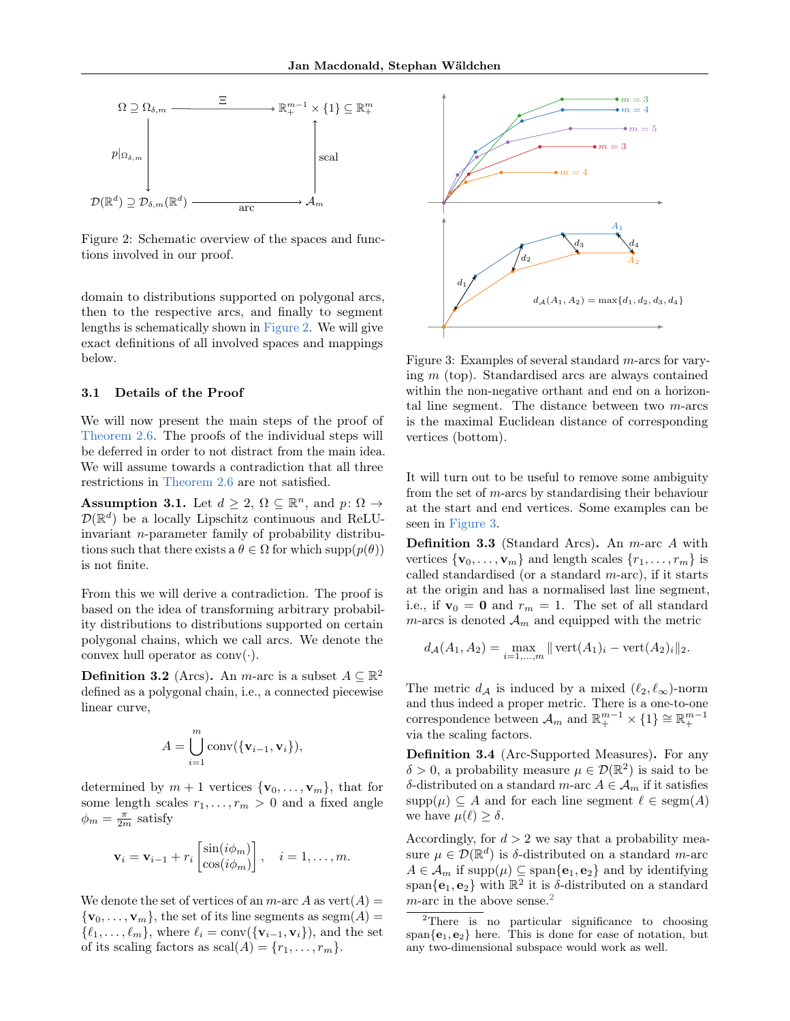

<span id="page-4-0"></span>Figure 2: Schematic overview of the spaces and functions involved in our proof.

domain to distributions supported on polygonal arcs, then to the respective arcs, and finally to segment lengths is schematically shown in [Figure 2.](#page-4-0) We will give exact definitions of all involved spaces and mappings below.

### 3.1 Details of the Proof

We will now present the main steps of the proof of [Theorem 2.6.](#page-2-3) The proofs of the individual steps will be deferred in order to not distract from the main idea. We will assume towards a contradiction that all three restrictions in [Theorem 2.6](#page-2-3) are not satisfied.

<span id="page-4-3"></span>**Assumption 3.1.** Let  $d \geq 2$ ,  $\Omega \subseteq \mathbb{R}^n$ , and  $p: \Omega \to$  $\mathcal{D}(\mathbb{R}^d)$  be a locally Lipschitz continuous and ReLUinvariant n-parameter family of probability distributions such that there exists a  $\theta \in \Omega$  for which supp $(p(\theta))$ is not finite.

From this we will derive a contradiction. The proof is based on the idea of transforming arbitrary probability distributions to distributions supported on certain polygonal chains, which we call arcs. We denote the convex hull operator as  $conv(\cdot)$ .

**Definition 3.2** (Arcs). An *m*-arc is a subset  $A \subseteq \mathbb{R}^2$ defined as a polygonal chain, i.e., a connected piecewise linear curve,

$$
A = \bigcup_{i=1}^{m} \text{conv}(\{\mathbf{v}_{i-1}, \mathbf{v}_{i}\}),
$$

determined by  $m + 1$  vertices  $\{v_0, \ldots, v_m\}$ , that for some length scales  $r_1, \ldots, r_m > 0$  and a fixed angle  $\phi_m = \frac{\pi}{2m}$  satisfy

$$
\mathbf{v}_{i} = \mathbf{v}_{i-1} + r_{i} \begin{bmatrix} \sin(i\phi_{m}) \\ \cos(i\phi_{m}) \end{bmatrix}, \quad i = 1, \dots, m.
$$

We denote the set of vertices of an  $m$ -arc A as vert $(A)$  =  $\{v_0, \ldots, v_m\}$ , the set of its line segments as segm $(A)$  =  $\{\ell_1, \ldots, \ell_m\}$ , where  $\ell_i = \text{conv}(\{\mathbf{v}_{i-1}, \mathbf{v}_i\})$ , and the set of its scaling factors as  $\text{scal}(A) = \{r_1, \ldots, r_m\}.$ 



<span id="page-4-1"></span>Figure 3: Examples of several standard m-arcs for varying  $m$  (top). Standardised arcs are always contained within the non-negative orthant and end on a horizontal line segment. The distance between two  $m$ -arcs is the maximal Euclidean distance of corresponding vertices (bottom).

It will turn out to be useful to remove some ambiguity from the set of m-arcs by standardising their behaviour at the start and end vertices. Some examples can be seen in [Figure 3.](#page-4-1)

Definition 3.3 (Standard Arcs). An m-arc A with vertices  $\{v_0, \ldots, v_m\}$  and length scales  $\{r_1, \ldots, r_m\}$  is called standardised (or a standard  $m$ -arc), if it starts at the origin and has a normalised last line segment, i.e., if  $\mathbf{v}_0 = \mathbf{0}$  and  $r_m = 1$ . The set of all standard  $m$ -arcs is denoted  $\mathcal{A}_m$  and equipped with the metric

$$
d_{\mathcal{A}}(A_1, A_2) = \max_{i=1,\dots,m} || \text{vert}(A_1)_i - \text{vert}(A_2)_i ||_2.
$$

The metric  $d_A$  is induced by a mixed  $(\ell_2, \ell_\infty)$ -norm and thus indeed a proper metric. There is a one-to-one correspondence between  $\mathcal{A}_m$  and  $\mathbb{R}^{m-1}_+ \times \{1\} \cong \mathbb{R}^{m-1}_+$ via the scaling factors.

Definition 3.4 (Arc-Supported Measures). For any  $\delta > 0$ , a probability measure  $\mu \in \mathcal{D}(\mathbb{R}^2)$  is said to be δ-distributed on a standard m-arc  $A \in \mathcal{A}_m$  if it satisfies  $\text{supp}(\mu) \subseteq A$  and for each line segment  $\ell \in \text{segm}(A)$ we have  $\mu(\ell) \geq \delta$ .

Accordingly, for  $d > 2$  we say that a probability measure  $\mu \in \mathcal{D}(\mathbb{R}^d)$  is  $\delta$ -distributed on a standard *m*-arc  $A \in \mathcal{A}_m$  if supp $(\mu) \subseteq \text{span}\{\mathbf{e}_1, \mathbf{e}_2\}$  and by identifying span $\{e_1, e_2\}$  with  $\mathbb{R}^2$  it is  $\delta$ -distributed on a standard  $m$ -arc in the above sense.<sup>[2](#page-4-2)</sup>

<span id="page-4-2"></span> $\overline{\text{P}}$ There is no particular significance to choosing  $span{e_1, e_2}$  here. This is done for ease of notation, but any two-dimensional subspace would work as well.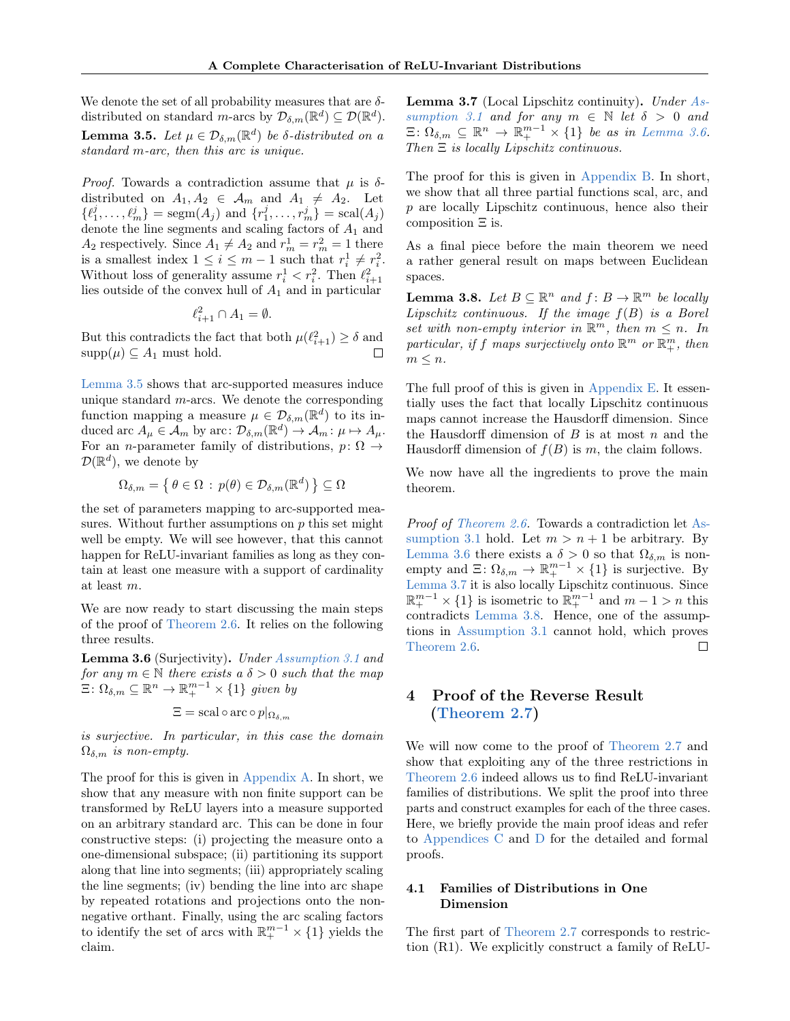We denote the set of all probability measures that are  $\delta$ distributed on standard *m*-arcs by  $\mathcal{D}_{\delta,m}(\mathbb{R}^d) \subseteq \mathcal{D}(\mathbb{R}^d)$ .

<span id="page-5-1"></span>**Lemma 3.5.** Let  $\mu \in \mathcal{D}_{\delta,m}(\mathbb{R}^d)$  be  $\delta$ -distributed on a standard m-arc, then this arc is unique.

*Proof.* Towards a contradiction assume that  $\mu$  is  $\delta$ distributed on  $A_1, A_2 \in \mathcal{A}_m$  and  $A_1 \neq A_2$ . Let  $\{\ell_1^j, \ldots, \ell_m^j\} = \text{segm}(A_j) \text{ and } \{r_1^j, \ldots, r_m^j\} = \text{scal}(A_j)$ denote the line segments and scaling factors of  $A_1$  and  $A_2$  respectively. Since  $A_1 \neq A_2$  and  $r_m^1 = r_m^2 = 1$  there is a smallest index  $1 \leq i \leq m-1$  such that  $r_i^1 \neq r_i^2$ . Without loss of generality assume  $r_i^1 < r_i^2$ . Then  $\ell_{i+1}^2$ lies outside of the convex hull of  $A_1$  and in particular

$$
\ell_{i+1}^2 \cap A_1 = \emptyset.
$$

But this contradicts the fact that both  $\mu(\ell_{i+1}^2) \ge \delta$  and  $\text{supp}(\mu) \subseteq A_1$  must hold.  $\Box$ 

[Lemma 3.5](#page-5-1) shows that arc-supported measures induce unique standard  $m$ -arcs. We denote the corresponding function mapping a measure  $\mu \in \mathcal{D}_{\delta,m}(\mathbb{R}^d)$  to its induced arc  $A_{\mu} \in \mathcal{A}_m$  by arc:  $\mathcal{D}_{\delta,m}(\mathbb{R}^d) \to \mathcal{A}_m: \mu \mapsto A_{\mu}$ . For an *n*-parameter family of distributions,  $p: \Omega \rightarrow$  $\mathcal{D}(\mathbb{R}^d)$ , we denote by

$$
\Omega_{\delta,m} = \left\{ \theta \in \Omega : p(\theta) \in \mathcal{D}_{\delta,m}(\mathbb{R}^d) \right\} \subseteq \Omega
$$

the set of parameters mapping to arc-supported measures. Without further assumptions on  $p$  this set might well be empty. We will see however, that this cannot happen for ReLU-invariant families as long as they contain at least one measure with a support of cardinality at least m.

We are now ready to start discussing the main steps of the proof of [Theorem 2.6.](#page-2-3) It relies on the following three results.

<span id="page-5-2"></span>Lemma 3.6 (Surjectivity). Under [Assumption 3.1](#page-4-3) and for any  $m \in \mathbb{N}$  there exists a  $\delta > 0$  such that the map  $\Xi \colon \Omega_{\delta,m} \subseteq \mathbb{R}^n \to \mathbb{R}^{m-1}_+ \times \{1\}$  given by

$$
\Xi = \operatorname{scal} \circ \operatorname{arc} \circ p|_{\Omega_{\delta,m}}
$$

is surjective. In particular, in this case the domain  $\Omega_{\delta,m}$  is non-empty.

<span id="page-5-3"></span>The proof for this is given in [Appendix A.](#page-10-0) In short, we show that any measure with non finite support can be transformed by ReLU layers into a measure supported on an arbitrary standard arc. This can be done in four constructive steps: (i) projecting the measure onto a one-dimensional subspace; (ii) partitioning its support along that line into segments; (iii) appropriately scaling the line segments; (iv) bending the line into arc shape by repeated rotations and projections onto the nonnegative orthant. Finally, using the arc scaling factors to identify the set of arcs with  $\mathbb{R}^{m-1}_+ \times \{1\}$  yields the claim.

**Lemma 3.7** (Local Lipschitz continuity). Under  $As$ [sumption 3.1](#page-4-3) and for any  $m \in \mathbb{N}$  let  $\delta > 0$  and  $\Xi: \Omega_{\delta,m} \subseteq \mathbb{R}^n \to \mathbb{R}^{m-1}_+ \times \{1\}$  be as in [Lemma 3.6.](#page-5-2) Then  $E$  is locally Lipschitz continuous.

The proof for this is given in [Appendix B.](#page-16-0) In short, we show that all three partial functions scal, arc, and p are locally Lipschitz continuous, hence also their composition Ξ is.

As a final piece before the main theorem we need a rather general result on maps between Euclidean spaces.

<span id="page-5-4"></span>**Lemma 3.8.** Let  $B \subseteq \mathbb{R}^n$  and  $f : B \to \mathbb{R}^m$  be locally Lipschitz continuous. If the image  $f(B)$  is a Borel set with non-empty interior in  $\mathbb{R}^m$ , then  $m \leq n$ . In particular, if f maps surjectively onto  $\mathbb{R}^m$  or  $\mathbb{R}^m_+$ , then  $m\leq n.$ 

The full proof of this is given in [Appendix E.](#page-23-0) It essentially uses the fact that locally Lipschitz continuous maps cannot increase the Hausdorff dimension. Since the Hausdorff dimension of  $B$  is at most  $n$  and the Hausdorff dimension of  $f(B)$  is m, the claim follows.

We now have all the ingredients to prove the main theorem.

Proof of [Theorem 2.6.](#page-2-3) Towards a contradiction let [As](#page-4-3)[sumption 3.1](#page-4-3) hold. Let  $m > n + 1$  be arbitrary. By [Lemma 3.6](#page-5-2) there exists a  $\delta > 0$  so that  $\Omega_{\delta,m}$  is nonempty and  $\Xi \colon \Omega_{\delta,m} \to \mathbb{R}^{m-1}_+ \times \{1\}$  is surjective. By [Lemma 3.7](#page-5-3) it is also locally Lipschitz continuous. Since  $\mathbb{R}^{m-1}$  × {1} is isometric to  $\mathbb{R}^{m-1}$  and  $m-1 > n$  this contradicts [Lemma 3.8.](#page-5-4) Hence, one of the assumptions in [Assumption 3.1](#page-4-3) cannot hold, which proves [Theorem 2.6.](#page-2-3)  $\Box$ 

## <span id="page-5-0"></span>4 Proof of the Reverse Result [\(Theorem 2.7\)](#page-3-1)

We will now come to the proof of [Theorem 2.7](#page-3-1) and show that exploiting any of the three restrictions in [Theorem 2.6](#page-2-3) indeed allows us to find ReLU-invariant families of distributions. We split the proof into three parts and construct examples for each of the three cases. Here, we briefly provide the main proof ideas and refer to [Appendices C](#page-19-0) and [D](#page-21-0) for the detailed and formal proofs.

### <span id="page-5-5"></span>4.1 Families of Distributions in One Dimension

The first part of [Theorem 2.7](#page-3-1) corresponds to restriction (R1). We explicitly construct a family of ReLU-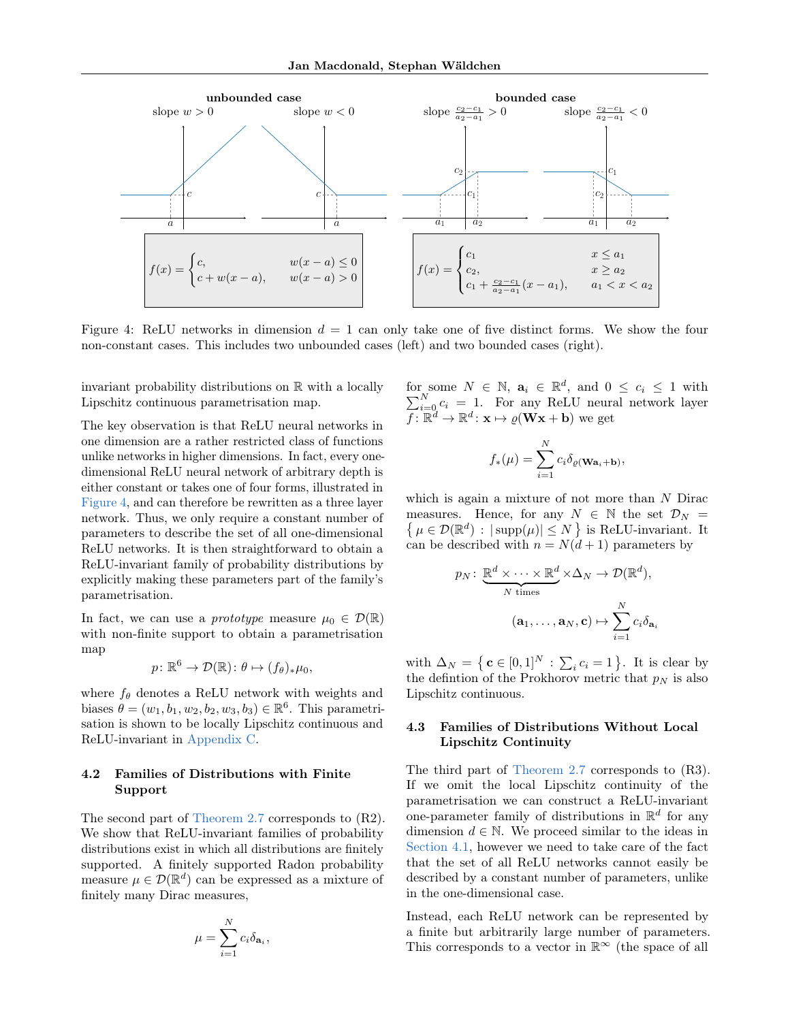

<span id="page-6-0"></span>Figure 4: ReLU networks in dimension  $d = 1$  can only take one of five distinct forms. We show the four non-constant cases. This includes two unbounded cases (left) and two bounded cases (right).

invariant probability distributions on R with a locally Lipschitz continuous parametrisation map.

The key observation is that ReLU neural networks in one dimension are a rather restricted class of functions unlike networks in higher dimensions. In fact, every onedimensional ReLU neural network of arbitrary depth is either constant or takes one of four forms, illustrated in [Figure 4,](#page-6-0) and can therefore be rewritten as a three layer network. Thus, we only require a constant number of parameters to describe the set of all one-dimensional ReLU networks. It is then straightforward to obtain a ReLU-invariant family of probability distributions by explicitly making these parameters part of the family's parametrisation.

In fact, we can use a *prototype* measure  $\mu_0 \in \mathcal{D}(\mathbb{R})$ with non-finite support to obtain a parametrisation map

$$
p \colon \mathbb{R}^6 \to \mathcal{D}(\mathbb{R}) \colon \theta \mapsto (f_{\theta})_* \mu_0,
$$

where  $f_{\theta}$  denotes a ReLU network with weights and biases  $\theta = (w_1, b_1, w_2, b_2, w_3, b_3) \in \mathbb{R}^6$ . This parametrisation is shown to be locally Lipschitz continuous and ReLU-invariant in [Appendix C.](#page-19-0)

### 4.2 Families of Distributions with Finite Support

The second part of [Theorem 2.7](#page-3-1) corresponds to (R2). We show that ReLU-invariant families of probability distributions exist in which all distributions are finitely supported. A finitely supported Radon probability measure  $\mu \in \mathcal{D}(\mathbb{R}^d)$  can be expressed as a mixture of finitely many Dirac measures,

$$
\mu = \sum_{i=1}^{N} c_i \delta_{\mathbf{a}_i},
$$

for some  $N \in \mathbb{N}$ ,  $a_i \in \mathbb{R}^d$  $\sum$ some  $N \in \mathbb{N}$ ,  $\mathbf{a}_i \in \mathbb{R}^d$ , and  $0 \le c_i \le 1$  with  $\sum_{i=0}^N c_i = 1$ . For any ReLU neural network layer  $\overline{f}: \mathbb{R}^d \to \mathbb{R}^d \colon \mathbf{x} \mapsto \varrho(\mathbf{W}\mathbf{x} + \mathbf{b})$  we get

$$
f_*(\mu) = \sum_{i=1}^N c_i \delta_{\varrho(\mathbf{W}\mathbf{a}_i + \mathbf{b})},
$$

which is again a mixture of not more than N Dirac measures. Hence, for any  $N \in \mathbb{N}$  the set  $\mathcal{D}_N =$  $\{\mu \in \mathcal{D}(\mathbb{R}^d) : |\text{supp}(\mu)| \leq N \}$  is ReLU-invariant. It can be described with  $n = N(d+1)$  parameters by

$$
p_N: \underbrace{\mathbb{R}^d \times \cdots \times \mathbb{R}^d}_{N \text{ times}} \times \Delta_N \to \mathcal{D}(\mathbb{R}^d),
$$

$$
(\mathbf{a}_1, \dots, \mathbf{a}_N, \mathbf{c}) \mapsto \sum_{i=1}^N c_i \delta_{\mathbf{a}_i}
$$

with  $\Delta_N = \{ \mathbf{c} \in [0,1]^N : \sum_i c_i = 1 \}.$  It is clear by the defintion of the Prokhorov metric that  $p_N$  is also Lipschitz continuous.

## <span id="page-6-1"></span>4.3 Families of Distributions Without Local Lipschitz Continuity

The third part of [Theorem 2.7](#page-3-1) corresponds to (R3). If we omit the local Lipschitz continuity of the parametrisation we can construct a ReLU-invariant one-parameter family of distributions in  $\mathbb{R}^d$  for any dimension  $d \in \mathbb{N}$ . We proceed similar to the ideas in [Section 4.1,](#page-5-5) however we need to take care of the fact that the set of all ReLU networks cannot easily be described by a constant number of parameters, unlike in the one-dimensional case.

Instead, each ReLU network can be represented by a finite but arbitrarily large number of parameters. This corresponds to a vector in  $\mathbb{R}^{\infty}$  (the space of all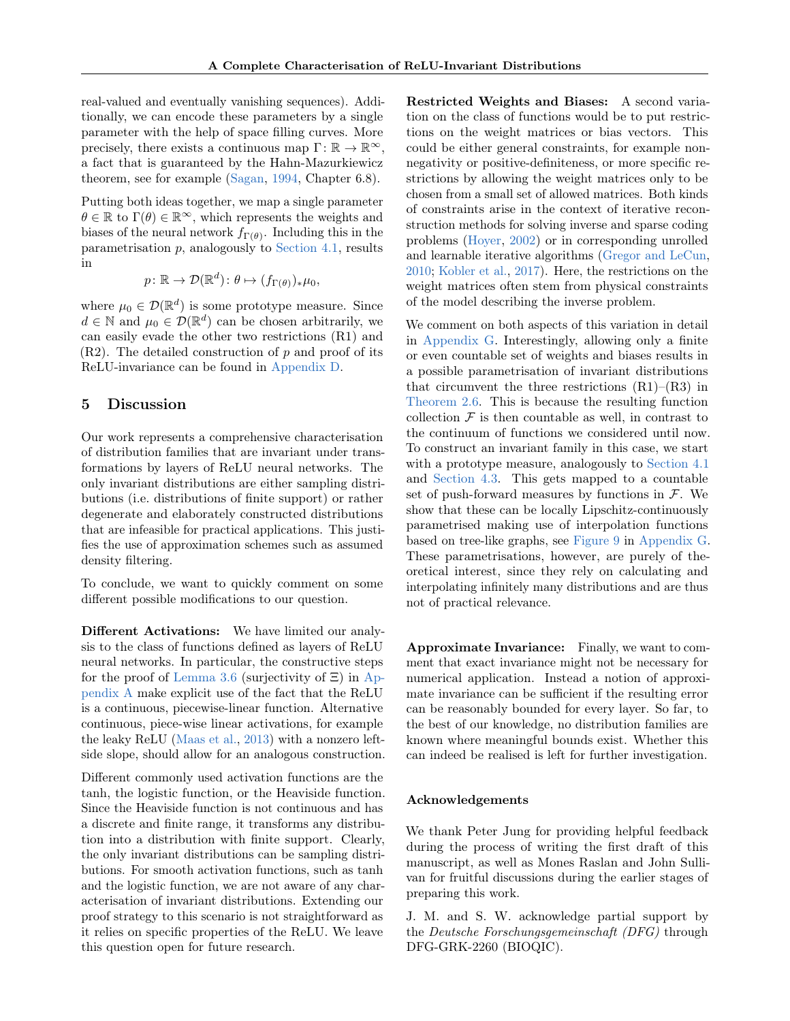real-valued and eventually vanishing sequences). Additionally, we can encode these parameters by a single parameter with the help of space filling curves. More precisely, there exists a continuous map  $\Gamma: \mathbb{R} \to \mathbb{R}^{\infty}$ , a fact that is guaranteed by the Hahn-Mazurkiewicz theorem, see for example [\(Sagan,](#page-9-16) [1994,](#page-9-16) Chapter 6.8).

Putting both ideas together, we map a single parameter  $\theta \in \mathbb{R}$  to  $\Gamma(\theta) \in \mathbb{R}^{\infty}$ , which represents the weights and biases of the neural network  $f_{\Gamma(\theta)}$ . Including this in the parametrisation  $p$ , analogously to [Section 4.1,](#page-5-5) results in

$$
p \colon \mathbb{R} \to \mathcal{D}(\mathbb{R}^d) \colon \theta \mapsto (f_{\Gamma(\theta)})_* \mu_0,
$$

where  $\mu_0 \in \mathcal{D}(\mathbb{R}^d)$  is some prototype measure. Since  $d \in \mathbb{N}$  and  $\mu_0 \in \mathcal{D}(\mathbb{R}^d)$  can be chosen arbitrarily, we can easily evade the other two restrictions (R1) and  $(R2)$ . The detailed construction of p and proof of its ReLU-invariance can be found in [Appendix D.](#page-21-0)

### <span id="page-7-0"></span>5 Discussion

Our work represents a comprehensive characterisation of distribution families that are invariant under transformations by layers of ReLU neural networks. The only invariant distributions are either sampling distributions (i.e. distributions of finite support) or rather degenerate and elaborately constructed distributions that are infeasible for practical applications. This justifies the use of approximation schemes such as assumed density filtering.

To conclude, we want to quickly comment on some different possible modifications to our question.

Different Activations: We have limited our analysis to the class of functions defined as layers of ReLU neural networks. In particular, the constructive steps for the proof of [Lemma 3.6](#page-5-2) (surjectivity of  $\Xi$ ) in [Ap](#page-10-0)[pendix A](#page-10-0) make explicit use of the fact that the ReLU is a continuous, piecewise-linear function. Alternative continuous, piece-wise linear activations, for example the leaky ReLU [\(Maas et al.,](#page-8-15) [2013\)](#page-8-15) with a nonzero leftside slope, should allow for an analogous construction.

Different commonly used activation functions are the tanh, the logistic function, or the Heaviside function. Since the Heaviside function is not continuous and has a discrete and finite range, it transforms any distribution into a distribution with finite support. Clearly, the only invariant distributions can be sampling distributions. For smooth activation functions, such as tanh and the logistic function, we are not aware of any characterisation of invariant distributions. Extending our proof strategy to this scenario is not straightforward as it relies on specific properties of the ReLU. We leave this question open for future research.

Restricted Weights and Biases: A second variation on the class of functions would be to put restrictions on the weight matrices or bias vectors. This could be either general constraints, for example nonnegativity or positive-definiteness, or more specific restrictions by allowing the weight matrices only to be chosen from a small set of allowed matrices. Both kinds of constraints arise in the context of iterative reconstruction methods for solving inverse and sparse coding problems [\(Hoyer,](#page-8-16) [2002\)](#page-8-16) or in corresponding unrolled and learnable iterative algorithms [\(Gregor and LeCun,](#page-8-17) [2010;](#page-8-17) [Kobler et al.,](#page-8-18) [2017\)](#page-8-18). Here, the restrictions on the weight matrices often stem from physical constraints of the model describing the inverse problem.

We comment on both aspects of this variation in detail in [Appendix G.](#page-24-0) Interestingly, allowing only a finite or even countable set of weights and biases results in a possible parametrisation of invariant distributions that circumvent the three restrictions  $(R1)$ – $(R3)$  in [Theorem 2.6.](#page-2-3) This is because the resulting function collection  $\mathcal F$  is then countable as well, in contrast to the continuum of functions we considered until now. To construct an invariant family in this case, we start with a prototype measure, analogously to [Section 4.1](#page-5-5) and [Section 4.3.](#page-6-1) This gets mapped to a countable set of push-forward measures by functions in  $\mathcal{F}$ . We show that these can be locally Lipschitz-continuously parametrised making use of interpolation functions based on tree-like graphs, see [Figure 9](#page-26-0) in [Appendix G.](#page-24-0) These parametrisations, however, are purely of theoretical interest, since they rely on calculating and interpolating infinitely many distributions and are thus not of practical relevance.

Approximate Invariance: Finally, we want to comment that exact invariance might not be necessary for numerical application. Instead a notion of approximate invariance can be sufficient if the resulting error can be reasonably bounded for every layer. So far, to the best of our knowledge, no distribution families are known where meaningful bounds exist. Whether this can indeed be realised is left for further investigation.

### Acknowledgements

We thank Peter Jung for providing helpful feedback during the process of writing the first draft of this manuscript, as well as Mones Raslan and John Sullivan for fruitful discussions during the earlier stages of preparing this work.

J. M. and S. W. acknowledge partial support by the Deutsche Forschungsgemeinschaft (DFG) through DFG-GRK-2260 (BIOQIC).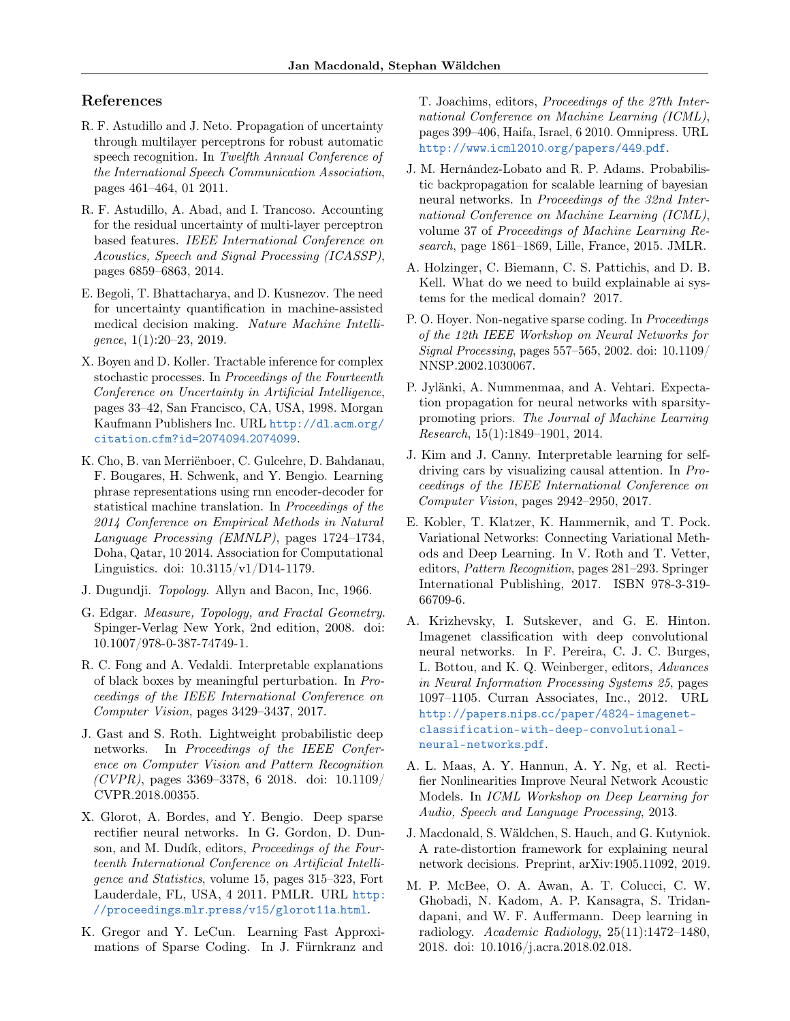# References

- <span id="page-8-10"></span>R. F. Astudillo and J. Neto. Propagation of uncertainty through multilayer perceptrons for robust automatic speech recognition. In Twelfth Annual Conference of the International Speech Communication Association, pages 461–464, 01 2011.
- <span id="page-8-11"></span>R. F. Astudillo, A. Abad, and I. Trancoso. Accounting for the residual uncertainty of multi-layer perceptron based features. IEEE International Conference on Acoustics, Speech and Signal Processing (ICASSP), pages 6859–6863, 2014.
- <span id="page-8-7"></span>E. Begoli, T. Bhattacharya, and D. Kusnezov. The need for uncertainty quantification in machine-assisted medical decision making. Nature Machine Intelligence, 1(1):20–23, 2019.
- <span id="page-8-6"></span>X. Boyen and D. Koller. Tractable inference for complex stochastic processes. In Proceedings of the Fourteenth Conference on Uncertainty in Artificial Intelligence, pages 33–42, San Francisco, CA, USA, 1998. Morgan Kaufmann Publishers Inc. URL [http://dl](http://dl.acm.org/citation.cfm?id=2074094.2074099).acm.org/ citation.[cfm?id=2074094](http://dl.acm.org/citation.cfm?id=2074094.2074099).2074099.
- <span id="page-8-1"></span>K. Cho, B. van Merriënboer, C. Gulcehre, D. Bahdanau, F. Bougares, H. Schwenk, and Y. Bengio. Learning phrase representations using rnn encoder-decoder for statistical machine translation. In Proceedings of the 2014 Conference on Empirical Methods in Natural Language Processing (EMNLP), pages 1724–1734, Doha, Qatar, 10 2014. Association for Computational Linguistics. doi: 10.3115/v1/D14-1179.
- <span id="page-8-20"></span>J. Dugundji. Topology. Allyn and Bacon, Inc, 1966.
- <span id="page-8-19"></span>G. Edgar. Measure, Topology, and Fractal Geometry. Spinger-Verlag New York, 2nd edition, 2008. doi: 10.1007/978-0-387-74749-1.
- <span id="page-8-12"></span>R. C. Fong and A. Vedaldi. Interpretable explanations of black boxes by meaningful perturbation. In Proceedings of the IEEE International Conference on Computer Vision, pages 3429–3437, 2017.
- <span id="page-8-3"></span>J. Gast and S. Roth. Lightweight probabilistic deep networks. In Proceedings of the IEEE Conference on Computer Vision and Pattern Recognition  $(CVPR)$ , pages 3369-3378, 6 2018. doi: 10.1109/ CVPR.2018.00355.
- <span id="page-8-14"></span>X. Glorot, A. Bordes, and Y. Bengio. Deep sparse rectifier neural networks. In G. Gordon, D. Dunson, and M. Dudík, editors, Proceedings of the Fourteenth International Conference on Artificial Intelligence and Statistics, volume 15, pages 315–323, Fort Lauderdale, FL, USA, 4 2011. PMLR. URL [http:](http://proceedings.mlr.press/v15/glorot11a.html) //proceedings.mlr.[press/v15/glorot11a](http://proceedings.mlr.press/v15/glorot11a.html).html.
- <span id="page-8-17"></span>K. Gregor and Y. LeCun. Learning Fast Approximations of Sparse Coding. In J. Fürnkranz and

T. Joachims, editors, Proceedings of the 27th International Conference on Machine Learning (ICML), pages 399–406, Haifa, Israel, 6 2010. Omnipress. URL http://www.icml2010.[org/papers/449](http://www.icml2010.org/papers/449.pdf).pdf.

- <span id="page-8-13"></span>J. M. Hernández-Lobato and R. P. Adams. Probabilistic backpropagation for scalable learning of bayesian neural networks. In Proceedings of the 32nd International Conference on Machine Learning (ICML), volume 37 of Proceedings of Machine Learning Research, page 1861–1869, Lille, France, 2015. JMLR.
- <span id="page-8-8"></span>A. Holzinger, C. Biemann, C. S. Pattichis, and D. B. Kell. What do we need to build explainable ai systems for the medical domain? 2017.
- <span id="page-8-16"></span>P. O. Hoyer. Non-negative sparse coding. In Proceedings of the 12th IEEE Workshop on Neural Networks for Signal Processing, pages 557–565, 2002. doi: 10.1109/ NNSP.2002.1030067.
- <span id="page-8-5"></span>P. Jylänki, A. Nummenmaa, and A. Vehtari. Expectation propagation for neural networks with sparsitypromoting priors. The Journal of Machine Learning Research, 15(1):1849–1901, 2014.
- <span id="page-8-9"></span>J. Kim and J. Canny. Interpretable learning for selfdriving cars by visualizing causal attention. In Proceedings of the IEEE International Conference on Computer Vision, pages 2942–2950, 2017.
- <span id="page-8-18"></span>E. Kobler, T. Klatzer, K. Hammernik, and T. Pock. Variational Networks: Connecting Variational Methods and Deep Learning. In V. Roth and T. Vetter, editors, Pattern Recognition, pages 281–293. Springer International Publishing, 2017. ISBN 978-3-319- 66709-6.
- <span id="page-8-0"></span>A. Krizhevsky, I. Sutskever, and G. E. Hinton. Imagenet classification with deep convolutional neural networks. In F. Pereira, C. J. C. Burges, L. Bottou, and K. Q. Weinberger, editors, Advances in Neural Information Processing Systems 25, pages 1097–1105. Curran Associates, Inc., 2012. URL http://papers.nips.[cc/paper/4824-imagenet](http://papers.nips.cc/paper/4824-imagenet-classification-with-deep-convolutional-neural-networks.pdf)[classification-with-deep-convolutional](http://papers.nips.cc/paper/4824-imagenet-classification-with-deep-convolutional-neural-networks.pdf)[neural-networks](http://papers.nips.cc/paper/4824-imagenet-classification-with-deep-convolutional-neural-networks.pdf).pdf.
- <span id="page-8-15"></span>A. L. Maas, A. Y. Hannun, A. Y. Ng, et al. Rectifier Nonlinearities Improve Neural Network Acoustic Models. In ICML Workshop on Deep Learning for Audio, Speech and Language Processing, 2013.
- <span id="page-8-4"></span>J. Macdonald, S. Wäldchen, S. Hauch, and G. Kutyniok. A rate-distortion framework for explaining neural network decisions. Preprint, arXiv:1905.11092, 2019.
- <span id="page-8-2"></span>M. P. McBee, O. A. Awan, A. T. Colucci, C. W. Ghobadi, N. Kadom, A. P. Kansagra, S. Tridandapani, and W. F. Auffermann. Deep learning in radiology. Academic Radiology, 25(11):1472–1480, 2018. doi: 10.1016/j.acra.2018.02.018.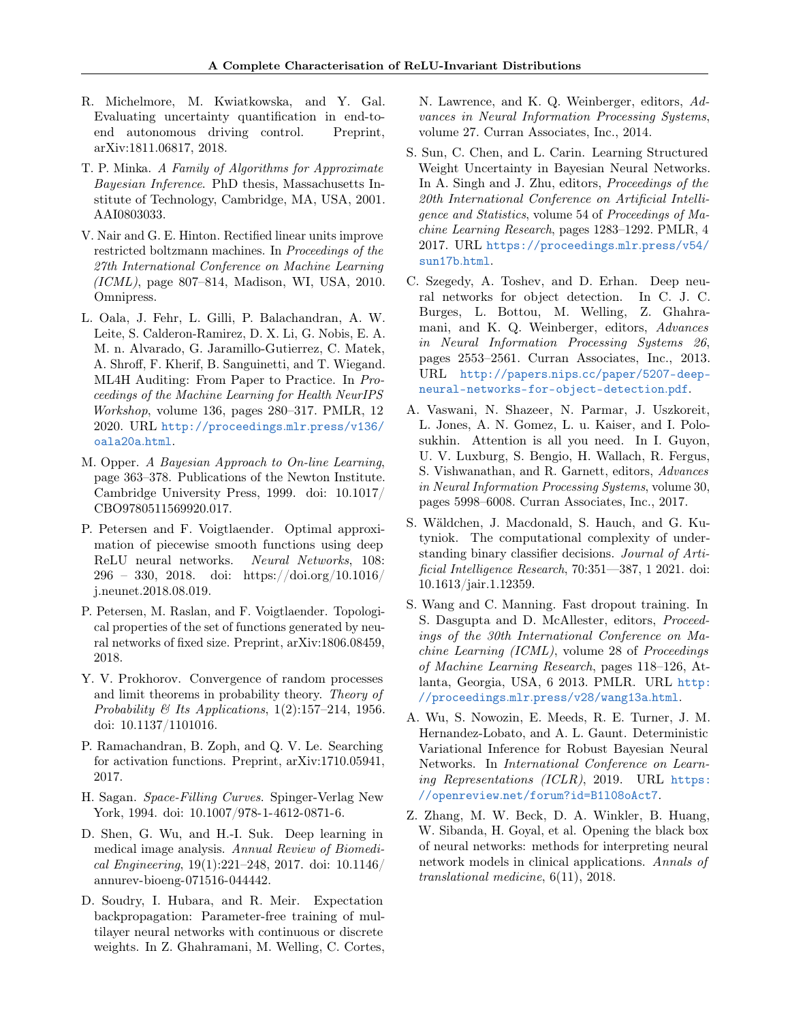- <span id="page-9-7"></span>R. Michelmore, M. Kwiatkowska, and Y. Gal. Evaluating uncertainty quantification in end-toend autonomous driving control. Preprint, arXiv:1811.06817, 2018.
- <span id="page-9-4"></span>T. P. Minka. A Family of Algorithms for Approximate Bayesian Inference. PhD thesis, Massachusetts Institute of Technology, Cambridge, MA, USA, 2001. AAI0803033.
- <span id="page-9-14"></span>V. Nair and G. E. Hinton. Rectified linear units improve restricted boltzmann machines. In Proceedings of the 27th International Conference on Machine Learning (ICML), page 807–814, Madison, WI, USA, 2010. Omnipress.
- <span id="page-9-5"></span>L. Oala, J. Fehr, L. Gilli, P. Balachandran, A. W. Leite, S. Calderon-Ramirez, D. X. Li, G. Nobis, E. A. M. n. Alvarado, G. Jaramillo-Gutierrez, C. Matek, A. Shroff, F. Kherif, B. Sanguinetti, and T. Wiegand. ML4H Auditing: From Paper to Practice. In Proceedings of the Machine Learning for Health NeurIPS Workshop, volume 136, pages 280–317. PMLR, 12 2020. URL [http://proceedings](http://proceedings.mlr.press/v136/oala20a.html).mlr.press/v136/ [oala20a](http://proceedings.mlr.press/v136/oala20a.html).html.
- <span id="page-9-9"></span>M. Opper. A Bayesian Approach to On-line Learning, page 363–378. Publications of the Newton Institute. Cambridge University Press, 1999. doi: 10.1017/ CBO9780511569920.017.
- <span id="page-9-17"></span>P. Petersen and F. Voigtlaender. Optimal approximation of piecewise smooth functions using deep ReLU neural networks. Neural Networks, 108: 296 – 330, 2018. doi: https://doi.org/10.1016/ j.neunet.2018.08.019.
- <span id="page-9-18"></span>P. Petersen, M. Raslan, and F. Voigtlaender. Topological properties of the set of functions generated by neural networks of fixed size. Preprint, arXiv:1806.08459, 2018.
- <span id="page-9-13"></span>Y. V. Prokhorov. Convergence of random processes and limit theorems in probability theory. Theory of Probability & Its Applications,  $1(2):157-214$ , 1956. doi: 10.1137/1101016.
- <span id="page-9-15"></span>P. Ramachandran, B. Zoph, and Q. V. Le. Searching for activation functions. Preprint, arXiv:1710.05941, 2017.
- <span id="page-9-16"></span>H. Sagan. Space-Filling Curves. Spinger-Verlag New York, 1994. doi: 10.1007/978-1-4612-0871-6.
- <span id="page-9-2"></span>D. Shen, G. Wu, and H.-I. Suk. Deep learning in medical image analysis. Annual Review of Biomedical Engineering,  $19(1):221-248$ ,  $2017$ . doi:  $10.1146/$ annurev-bioeng-071516-044442.
- <span id="page-9-3"></span>D. Soudry, I. Hubara, and R. Meir. Expectation backpropagation: Parameter-free training of multilayer neural networks with continuous or discrete weights. In Z. Ghahramani, M. Welling, C. Cortes,

N. Lawrence, and K. Q. Weinberger, editors, Advances in Neural Information Processing Systems, volume 27. Curran Associates, Inc., 2014.

- <span id="page-9-10"></span>S. Sun, C. Chen, and L. Carin. Learning Structured Weight Uncertainty in Bayesian Neural Networks. In A. Singh and J. Zhu, editors, Proceedings of the 20th International Conference on Artificial Intelligence and Statistics, volume 54 of Proceedings of Machine Learning Research, pages 1283–1292. PMLR, 4 2017. URL [https://proceedings](https://proceedings.mlr.press/v54/sun17b.html).mlr.press/v54/ [sun17b](https://proceedings.mlr.press/v54/sun17b.html).html.
- <span id="page-9-0"></span>C. Szegedy, A. Toshev, and D. Erhan. Deep neural networks for object detection. In C. J. C. Burges, L. Bottou, M. Welling, Z. Ghahramani, and K. Q. Weinberger, editors, Advances in Neural Information Processing Systems 26, pages 2553–2561. Curran Associates, Inc., 2013. URL http://papers.nips.[cc/paper/5207-deep](http://papers.nips.cc/paper/5207-deep-neural-networks-for-object-detection.pdf)[neural-networks-for-object-detection](http://papers.nips.cc/paper/5207-deep-neural-networks-for-object-detection.pdf).pdf.
- <span id="page-9-1"></span>A. Vaswani, N. Shazeer, N. Parmar, J. Uszkoreit, L. Jones, A. N. Gomez, L. u. Kaiser, and I. Polosukhin. Attention is all you need. In I. Guyon, U. V. Luxburg, S. Bengio, H. Wallach, R. Fergus, S. Vishwanathan, and R. Garnett, editors, Advances in Neural Information Processing Systems, volume 30, pages 5998–6008. Curran Associates, Inc., 2017.
- <span id="page-9-8"></span>S. Wäldchen, J. Macdonald, S. Hauch, and G. Kutyniok. The computational complexity of understanding binary classifier decisions. Journal of Arti $ficial Intelligence Research, 70:351—387, 1 2021. doi:$ 10.1613/jair.1.12359.
- <span id="page-9-12"></span>S. Wang and C. Manning. Fast dropout training. In S. Dasgupta and D. McAllester, editors, Proceedings of the 30th International Conference on Machine Learning (ICML), volume 28 of Proceedings of Machine Learning Research, pages 118–126, Atlanta, Georgia, USA, 6 2013. PMLR. URL [http:](http://proceedings.mlr.press/v28/wang13a.html) //proceedings.mlr.[press/v28/wang13a](http://proceedings.mlr.press/v28/wang13a.html).html.
- <span id="page-9-11"></span>A. Wu, S. Nowozin, E. Meeds, R. E. Turner, J. M. Hernandez-Lobato, and A. L. Gaunt. Deterministic Variational Inference for Robust Bayesian Neural Networks. In International Conference on Learning Representations (ICLR), 2019. URL [https:](https://openreview.net/forum?id=B1l08oAct7) //openreview.[net/forum?id=B1l08oAct7](https://openreview.net/forum?id=B1l08oAct7).
- <span id="page-9-6"></span>Z. Zhang, M. W. Beck, D. A. Winkler, B. Huang, W. Sibanda, H. Goyal, et al. Opening the black box of neural networks: methods for interpreting neural network models in clinical applications. Annals of translational medicine, 6(11), 2018.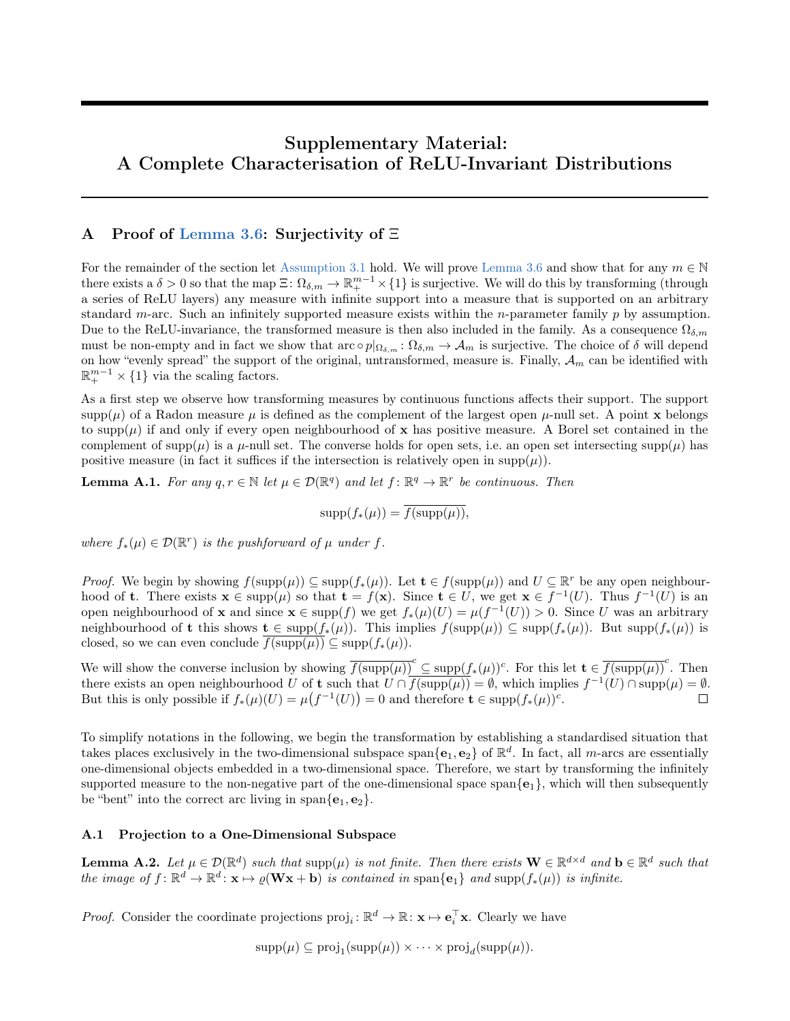# Supplementary Material: A Complete Characterisation of ReLU-Invariant Distributions

## <span id="page-10-0"></span>A Proof of [Lemma 3.6:](#page-5-2) Surjectivity of Ξ

For the remainder of the section let [Assumption 3.1](#page-4-3) hold. We will prove [Lemma 3.6](#page-5-2) and show that for any  $m \in \mathbb{N}$ there exists a  $\delta > 0$  so that the map  $\Xi \colon \Omega_{\delta,m} \to \mathbb{R}^{m-1}_+ \times \{1\}$  is surjective. We will do this by transforming (through a series of ReLU layers) any measure with infinite support into a measure that is supported on an arbitrary standard m-arc. Such an infinitely supported measure exists within the *n*-parameter family  $p$  by assumption. Due to the ReLU-invariance, the transformed measure is then also included in the family. As a consequence  $\Omega_{\delta,m}$ must be non-empty and in fact we show that  $\text{arc} \circ p|_{\Omega_{\delta,m}}: \Omega_{\delta,m} \to \mathcal{A}_m$  is surjective. The choice of  $\delta$  will depend on how "evenly spread" the support of the original, untransformed, measure is. Finally,  $A_m$  can be identified with  $\mathbb{R}^{m-1}_+ \times \{1\}$  via the scaling factors.

As a first step we observe how transforming measures by continuous functions affects their support. The support  $\text{supp}(\mu)$  of a Radon measure  $\mu$  is defined as the complement of the largest open  $\mu$ -null set. A point x belongs to supp $(\mu)$  if and only if every open neighbourhood of x has positive measure. A Borel set contained in the complement of supp $(\mu)$  is a  $\mu$ -null set. The converse holds for open sets, i.e. an open set intersecting supp $(\mu)$  has positive measure (in fact it suffices if the intersection is relatively open in  $supp(\mu)$ ).

<span id="page-10-1"></span>**Lemma A.1.** For any  $q, r \in \mathbb{N}$  let  $\mu \in \mathcal{D}(\mathbb{R}^q)$  and let  $f: \mathbb{R}^q \to \mathbb{R}^r$  be continuous. Then

$$
supp(f_*(\mu)) = \overline{f(supp(\mu))},
$$

where  $f_*(\mu) \in \mathcal{D}(\mathbb{R}^r)$  is the pushforward of  $\mu$  under f.

*Proof.* We begin by showing  $f(\text{supp}(\mu)) \subseteq \text{supp}(f_*(\mu))$ . Let  $\mathbf{t} \in f(\text{supp}(\mu))$  and  $U \subseteq \mathbb{R}^r$  be any open neighbourhood of **t**. There exists  $\mathbf{x} \in \text{supp}(\mu)$  so that  $\mathbf{t} = f(\mathbf{x})$ . Since  $\mathbf{t} \in U$ , we get  $\mathbf{x} \in f^{-1}(U)$ . Thus  $f^{-1}(U)$  is an open neighbourhood of **x** and since  $\mathbf{x} \in \text{supp}(f)$  we get  $f_*(\mu)(U) = \mu(f^{-1}(U)) > 0$ . Since U was an arbitrary neighbourhood of t this shows  $\mathbf{t} \in \text{supp}(f_*(\mu))$ . This implies  $f(\text{supp}(\mu)) \subseteq \text{supp}(f_*(\mu))$ . But  $\text{supp}(f_*(\mu))$  is closed, so we can even conclude  $f(\text{supp}(\mu)) \subseteq \text{supp}(f_*(\mu)).$ 

We will show the converse inclusion by showing  $\overline{f(\text{supp}(\mu))}^c \subseteq \text{supp}(f_*(\mu))^c$ . For this let  $\mathbf{t} \in \overline{f(\text{supp}(\mu))}^c$ . Then there exists an open neighbourhood U of t such that  $U \cap \overline{f(\text{supp}(\mu))} = \emptyset$ , which implies  $f^{-1}(U) \cap \text{supp}(\mu) = \emptyset$ . But this is only possible if  $f_*(\mu)(U) = \mu(f^{-1}(U)) = 0$  and therefore  $\mathbf{t} \in \text{supp}(f_*(\mu))^c$ .  $\Box$ 

To simplify notations in the following, we begin the transformation by establishing a standardised situation that takes places exclusively in the two-dimensional subspace span $\{e_1, e_2\}$  of  $\mathbb{R}^d$ . In fact, all *m*-arcs are essentially one-dimensional objects embedded in a two-dimensional space. Therefore, we start by transforming the infinitely supported measure to the non-negative part of the one-dimensional space span $\{e_1\}$ , which will then subsequently be "bent" into the correct arc living in span $\{e_1, e_2\}$ .

### <span id="page-10-2"></span>A.1 Projection to a One-Dimensional Subspace

<span id="page-10-3"></span>**Lemma A.2.** Let  $\mu \in \mathcal{D}(\mathbb{R}^d)$  such that  $\text{supp}(\mu)$  is not finite. Then there exists  $\mathbf{W} \in \mathbb{R}^{d \times d}$  and  $\mathbf{b} \in \mathbb{R}^d$  such that the image of  $f: \mathbb{R}^d \to \mathbb{R}^d$ :  $\mathbf{x} \mapsto \varrho(\mathbf{W}\mathbf{x} + \mathbf{b})$  is contained in span $\{\mathbf{e}_1\}$  and supp $(f_*(\mu))$  is infinite.

*Proof.* Consider the coordinate projections  $\text{proj}_i : \mathbb{R}^d \to \mathbb{R} : \mathbf{x} \mapsto \mathbf{e}_i^{\top} \mathbf{x}$ . Clearly we have

$$
supp(\mu) \subseteq proj_1(supp(\mu)) \times \cdots \times proj_d(supp(\mu)).
$$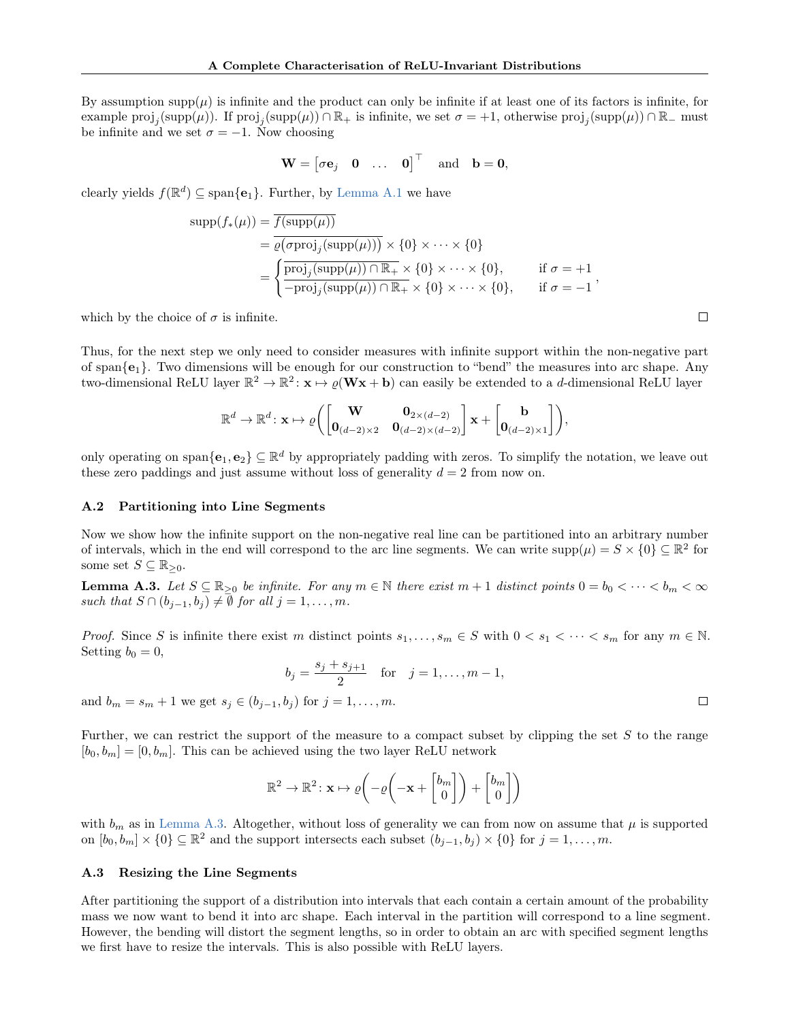By assumption supp $(\mu)$  is infinite and the product can only be infinite if at least one of its factors is infinite, for example  $\text{proj}_j(\text{supp}(\mu))$ . If  $\text{proj}_j(\text{supp}(\mu)) \cap \mathbb{R}_+$  is infinite, we set  $\sigma = +1$ , otherwise  $\text{proj}_j(\text{supp}(\mu)) \cap \mathbb{R}_-$  must be infinite and we set  $\sigma = -1$ . Now choosing

$$
\mathbf{W} = \begin{bmatrix} \sigma \mathbf{e}_j & \mathbf{0} & \dots & \mathbf{0} \end{bmatrix}^\top \quad \text{and} \quad \mathbf{b} = \mathbf{0},
$$

clearly yields  $f(\mathbb{R}^d) \subseteq \text{span}\{\mathbf{e}_1\}$ . Further, by [Lemma A.1](#page-10-1) we have

$$
\text{supp}(f_*(\mu)) = \frac{f(\text{supp}(\mu))}{\varrho(\sigma \text{proj}_j(\text{supp}(\mu)))} \times \{0\} \times \cdots \times \{0\}
$$

$$
= \begin{cases} \frac{\text{proj}_j(\text{supp}(\mu)) \cap \mathbb{R}_+ \times \{0\} \times \cdots \times \{0\}, & \text{if } \sigma = +1 \\ -\text{proj}_j(\text{supp}(\mu)) \cap \mathbb{R}_+ \times \{0\} \times \cdots \times \{0\}, & \text{if } \sigma = -1 \end{cases},
$$

which by the choice of  $\sigma$  is infinite.

Thus, for the next step we only need to consider measures with infinite support within the non-negative part of span $\{e_1\}$ . Two dimensions will be enough for our construction to "bend" the measures into arc shape. Any two-dimensional ReLU layer  $\mathbb{R}^2 \to \mathbb{R}^2$ :  $\mathbf{x} \mapsto \varrho(\mathbf{W}\mathbf{x} + \mathbf{b})$  can easily be extended to a *d*-dimensional ReLU layer

$$
\mathbb{R}^d \to \mathbb{R}^d \colon \mathbf{x} \mapsto \varrho\bigg( \begin{bmatrix} \mathbf{W} & \mathbf{0}_{2 \times (d-2)} \\ \mathbf{0}_{(d-2) \times 2} & \mathbf{0}_{(d-2) \times (d-2)} \end{bmatrix} \mathbf{x} + \begin{bmatrix} \mathbf{b} \\ \mathbf{0}_{(d-2) \times 1} \end{bmatrix} \bigg),
$$

only operating on span $\{e_1, e_2\} \subseteq \mathbb{R}^d$  by appropriately padding with zeros. To simplify the notation, we leave out these zero paddings and just assume without loss of generality  $d = 2$  from now on.

#### A.2 Partitioning into Line Segments

Now we show how the infinite support on the non-negative real line can be partitioned into an arbitrary number of intervals, which in the end will correspond to the arc line segments. We can write  $\text{supp}(\mu) = S \times \{0\} \subseteq \mathbb{R}^2$  for some set  $S \subseteq \mathbb{R}_{\geq 0}$ .

<span id="page-11-0"></span>**Lemma A.3.** Let  $S \subseteq \mathbb{R}_{\geq 0}$  be infinite. For any  $m \in \mathbb{N}$  there exist  $m+1$  distinct points  $0 = b_0 < \cdots < b_m < \infty$ such that  $S \cap (b_{j-1}, b_j) \neq \emptyset$  for all  $j = 1, ..., m$ .

*Proof.* Since S is infinite there exist m distinct points  $s_1, \ldots, s_m \in S$  with  $0 < s_1 < \cdots < s_m$  for any  $m \in \mathbb{N}$ . Setting  $b_0 = 0$ ,

$$
b_j = \frac{s_j + s_{j+1}}{2}
$$
 for  $j = 1, ..., m - 1$ ,

and  $b_m = s_m + 1$  we get  $s_j \in (b_{j-1}, b_j)$  for  $j = 1, ..., m$ .

Further, we can restrict the support of the measure to a compact subset by clipping the set  $S$  to the range  $[b_0, b_m] = [0, b_m]$ . This can be achieved using the two layer ReLU network

$$
\mathbb{R}^2 \to \mathbb{R}^2 \colon \mathbf{x} \mapsto \varrho \bigg( -\varrho \bigg( -\mathbf{x} + \begin{bmatrix} b_m \\ 0 \end{bmatrix} \bigg) + \begin{bmatrix} b_m \\ 0 \end{bmatrix} \bigg)
$$

with  $b_m$  as in [Lemma A.3.](#page-11-0) Altogether, without loss of generality we can from now on assume that  $\mu$  is supported on  $[b_0, b_m] \times \{0\} \subseteq \mathbb{R}^2$  and the support intersects each subset  $(b_{j-1}, b_j) \times \{0\}$  for  $j = 1, ..., m$ .

### A.3 Resizing the Line Segments

<span id="page-11-1"></span>After partitioning the support of a distribution into intervals that each contain a certain amount of the probability mass we now want to bend it into arc shape. Each interval in the partition will correspond to a line segment. However, the bending will distort the segment lengths, so in order to obtain an arc with specified segment lengths we first have to resize the intervals. This is also possible with ReLU layers.

 $\Box$ 

 $\Box$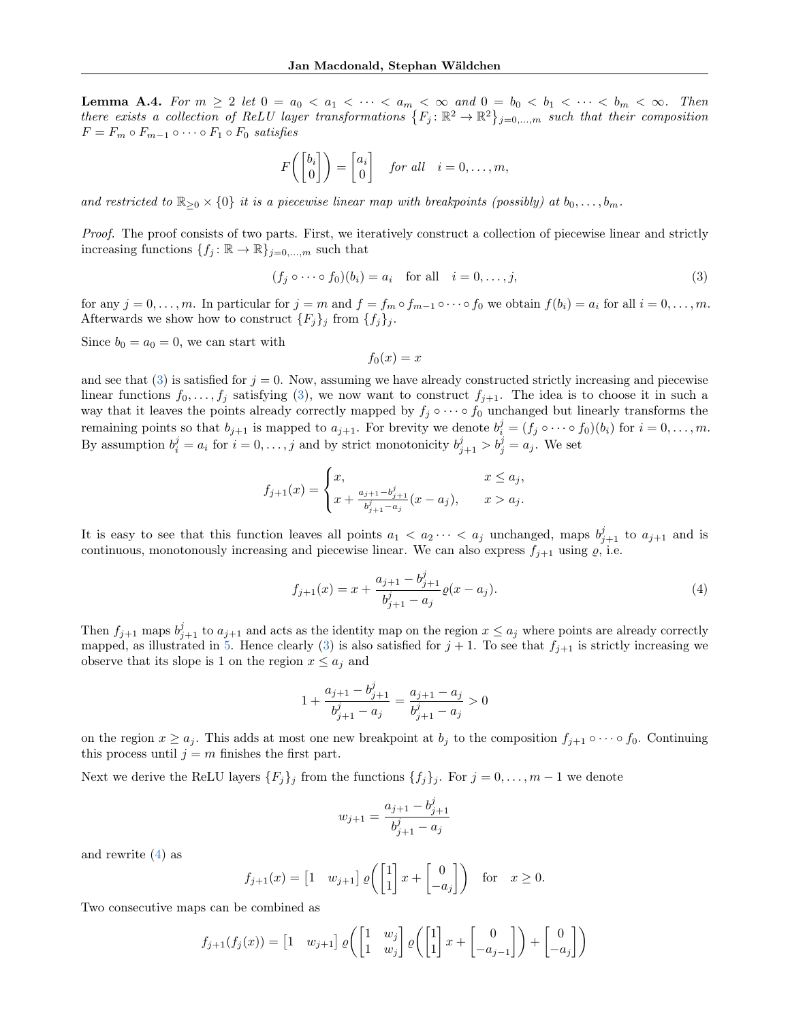**Lemma A.4.** For  $m \geq 2$  let  $0 = a_0 < a_1 < \cdots < a_m < \infty$  and  $0 = b_0 < b_1 < \cdots < b_m < \infty$ . Then there exists a collection of ReLU layer transformations  $\{F_j: \mathbb{R}^2 \to \mathbb{R}^2\}_{j=0,\dots,m}$  such that their composition  $F = F_m \circ F_{m-1} \circ \cdots \circ F_1 \circ F_0$  satisfies

$$
F\left(\begin{bmatrix}b_i\\0\end{bmatrix}\right)=\begin{bmatrix}a_i\\0\end{bmatrix}\quad \text{for all} \quad i=0,\ldots,m,
$$

and restricted to  $\mathbb{R}_{\geq 0} \times \{0\}$  it is a piecewise linear map with breakpoints (possibly) at  $b_0, \ldots, b_m$ .

Proof. The proof consists of two parts. First, we iteratively construct a collection of piecewise linear and strictly increasing functions  $\{f_j: \mathbb{R} \to \mathbb{R}\}_{j=0,\dots,m}$  such that

<span id="page-12-0"></span>
$$
(f_j \circ \cdots \circ f_0)(b_i) = a_i \quad \text{for all} \quad i = 0, \dots, j,
$$
 (3)

for any  $j = 0, \ldots, m$ . In particular for  $j = m$  and  $f = f_m \circ f_{m-1} \circ \cdots \circ f_0$  we obtain  $f(b_i) = a_i$  for all  $i = 0, \ldots, m$ . Afterwards we show how to construct  $\{F_j\}_j$  from  $\{f_j\}_j$ .

Since  $b_0 = a_0 = 0$ , we can start with

$$
f_0(x) = x
$$

and see that [\(3\)](#page-12-0) is satisfied for  $j = 0$ . Now, assuming we have already constructed strictly increasing and piecewise linear functions  $f_0, \ldots, f_j$  satisfying [\(3\)](#page-12-0), we now want to construct  $f_{j+1}$ . The idea is to choose it in such a way that it leaves the points already correctly mapped by  $f_j \circ \cdots \circ f_0$  unchanged but linearly transforms the remaining points so that  $b_{j+1}$  is mapped to  $a_{j+1}$ . For brevity we denote  $b_i^j = (f_j \circ \cdots \circ f_0)(b_i)$  for  $i = 0, \ldots, m$ . By assumption  $b_i^j = a_i$  for  $i = 0, \ldots, j$  and by strict monotonicity  $b_{j+1}^j > b_j^j = a_j$ . We set

$$
f_{j+1}(x) = \begin{cases} x, & x \le a_j, \\ x + \frac{a_{j+1} - b_{j+1}^j}{b_{j+1}^j - a_j}(x - a_j), & x > a_j. \end{cases}
$$

It is easy to see that this function leaves all points  $a_1 < a_2 \cdots < a_j$  unchanged, maps  $b_{j+1}^j$  to  $a_{j+1}$  and is continuous, monotonously increasing and piecewise linear. We can also express  $f_{j+1}$  using  $\varrho$ , i.e.

<span id="page-12-1"></span>
$$
f_{j+1}(x) = x + \frac{a_{j+1} - b_{j+1}^j}{b_{j+1}^j - a_j} \varrho(x - a_j).
$$
\n<sup>(4)</sup>

Then  $f_{j+1}$  maps  $b_{j+1}^j$  to  $a_{j+1}$  and acts as the identity map on the region  $x \le a_j$  where points are already correctly mapped, as illustrated in [5.](#page-13-0) Hence clearly [\(3\)](#page-12-0) is also satisfied for  $j + 1$ . To see that  $f_{j+1}$  is strictly increasing we observe that its slope is 1 on the region  $x \leq a_j$  and

$$
1 + \frac{a_{j+1} - b_{j+1}^j}{b_{j+1}^j - a_j} = \frac{a_{j+1} - a_j}{b_{j+1}^j - a_j} > 0
$$

on the region  $x \ge a_j$ . This adds at most one new breakpoint at  $b_j$  to the composition  $f_{j+1} \circ \cdots \circ f_0$ . Continuing this process until  $j = m$  finishes the first part.

Next we derive the ReLU layers  ${F_j}_j$  from the functions  ${f_j}_j$ . For  $j = 0, \ldots, m-1$  we denote

$$
w_{j+1} = \frac{a_{j+1} - b_{j+1}^j}{b_{j+1}^j - a_j}
$$

and rewrite [\(4\)](#page-12-1) as

$$
f_{j+1}(x) = \begin{bmatrix} 1 & w_{j+1} \end{bmatrix} \varrho \begin{bmatrix} 1 \\ 1 \end{bmatrix} x + \begin{bmatrix} 0 \\ -a_j \end{bmatrix} \quad \text{for} \quad x \ge 0.
$$

Two consecutive maps can be combined as

$$
f_{j+1}(f_j(x)) = \begin{bmatrix} 1 & w_{j+1} \end{bmatrix} \varrho \left( \begin{bmatrix} 1 & w_j \\ 1 & w_j \end{bmatrix} \varrho \left( \begin{bmatrix} 1 \\ 1 \end{bmatrix} x + \begin{bmatrix} 0 \\ -a_{j-1} \end{bmatrix} \right) + \begin{bmatrix} 0 \\ -a_j \end{bmatrix} \right)
$$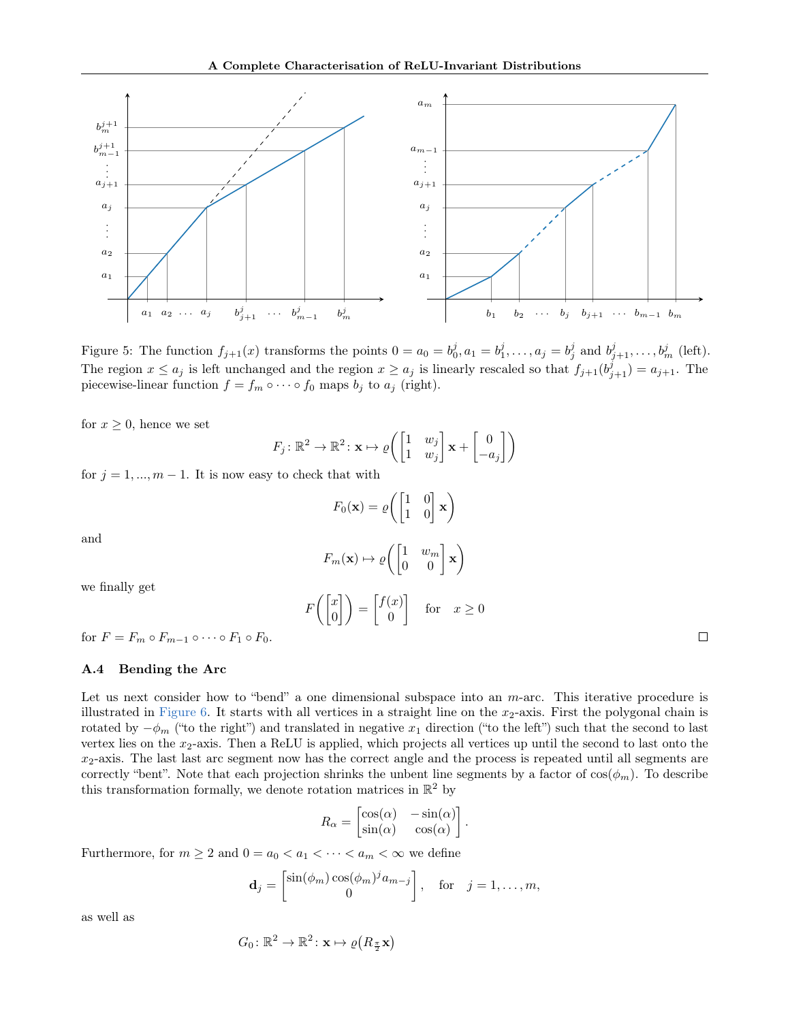

<span id="page-13-0"></span>Figure 5: The function  $f_{j+1}(x)$  transforms the points  $0 = a_0 = b_0^j, a_1 = b_1^j, \ldots, a_j = b_j^j$  and  $b_{j+1}^j, \ldots, b_m^j$  (left). The region  $x \le a_j$  is left unchanged and the region  $x \ge a_j$  is linearly rescaled so that  $f_{j+1}(b_{j+1}^j) = a_{j+1}$ . The piecewise-linear function  $f = f_m \circ \cdots \circ f_0$  maps  $b_i$  to  $a_j$  (right).

for  $x \geq 0$ , hence we set

$$
F_j: \mathbb{R}^2 \to \mathbb{R}^2: \mathbf{x} \mapsto \varrho\bigg(\begin{bmatrix} 1 & w_j \\ 1 & w_j \end{bmatrix} \mathbf{x} + \begin{bmatrix} 0 \\ -a_j \end{bmatrix}\bigg)
$$

for  $j = 1, ..., m - 1$ . It is now easy to check that with

$$
F_0(\mathbf{x}) = \varrho\left(\begin{bmatrix} 1 & 0 \\ 1 & 0 \end{bmatrix} \mathbf{x}\right)
$$

$$
F_m(\mathbf{x}) \mapsto \varrho\left(\begin{bmatrix} 1 & w_m \\ 0 & 0 \end{bmatrix} \mathbf{x}\right)
$$

and

we finally get

$$
F\left(\begin{bmatrix} x \\ 0 \end{bmatrix}\right) = \begin{bmatrix} f(x) \\ 0 \end{bmatrix} \quad \text{for} \quad x \ge 0
$$

for  $F = F_m \circ F_{m-1} \circ \cdots \circ F_1 \circ F_0$ .

### A.4 Bending the Arc

Let us next consider how to "bend" a one dimensional subspace into an  $m$ -arc. This iterative procedure is illustrated in [Figure 6.](#page-14-0) It starts with all vertices in a straight line on the  $x_2$ -axis. First the polygonal chain is rotated by  $-\phi_m$  ("to the right") and translated in negative  $x_1$  direction ("to the left") such that the second to last vertex lies on the  $x_2$ -axis. Then a ReLU is applied, which projects all vertices up until the second to last onto the  $x_2$ -axis. The last last arc segment now has the correct angle and the process is repeated until all segments are correctly "bent". Note that each projection shrinks the unbent line segments by a factor of  $cos(\phi_m)$ . To describe this transformation formally, we denote rotation matrices in  $\mathbb{R}^2$  by

$$
R_{\alpha} = \begin{bmatrix} \cos(\alpha) & -\sin(\alpha) \\ \sin(\alpha) & \cos(\alpha) \end{bmatrix}.
$$

Furthermore, for  $m \ge 2$  and  $0 = a_0 < a_1 < \cdots < a_m < \infty$  we define

$$
\mathbf{d}_j = \begin{bmatrix} \sin(\phi_m) \cos(\phi_m)^j a_{m-j} \\ 0 \end{bmatrix}, \text{ for } j = 1, \dots, m,
$$

as well as

$$
G_0\colon \mathbb{R}^2\to\mathbb{R}^2\colon \mathbf{x}\mapsto \varrho\big(R_{\frac{\pi}{2}}\mathbf{x}\big)
$$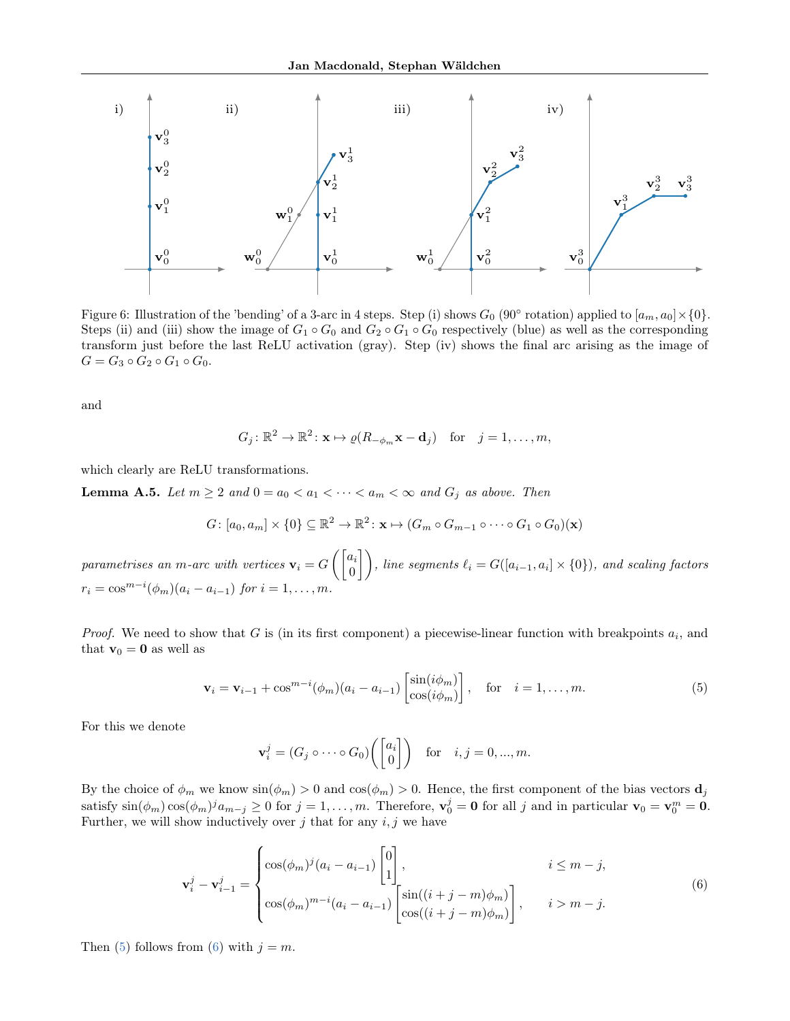

<span id="page-14-0"></span>Figure 6: Illustration of the 'bending' of a 3-arc in 4 steps. Step (i) shows  $G_0$  (90° rotation) applied to  $[a_m, a_0] \times \{0\}$ . Steps (ii) and (iii) show the image of  $G_1 \circ G_0$  and  $G_2 \circ G_1 \circ G_0$  respectively (blue) as well as the corresponding transform just before the last ReLU activation (gray). Step (iv) shows the final arc arising as the image of  $G = G_3 \circ G_2 \circ G_1 \circ G_0.$ 

and

$$
G_j: \mathbb{R}^2 \to \mathbb{R}^2: \mathbf{x} \mapsto \varrho(R_{-\phi_m}\mathbf{x}-\mathbf{d}_j)
$$
 for  $j = 1, ..., m$ ,

which clearly are ReLU transformations.

<span id="page-14-3"></span>**Lemma A.5.** Let  $m \geq 2$  and  $0 = a_0 < a_1 < \cdots < a_m < \infty$  and  $G_i$  as above. Then

$$
G\colon [a_0,a_m]\times\{0\}\subseteq\mathbb{R}^2\to\mathbb{R}^2\colon\mathbf{x}\mapsto(G_m\circ G_{m-1}\circ\cdots\circ G_1\circ G_0)(\mathbf{x})
$$

parametrises an m-arc with vertices  $\mathbf{v}_i = G \begin{pmatrix} a_i \\ a_i \end{pmatrix}$  $\begin{pmatrix} a_i \ 0 \end{pmatrix}$  , line segments  $\ell_i = G([a_{i-1}, a_i] \times \{0\})$  , and scaling factors  $r_i = \cos^{m-i}(\phi_m)(a_i - a_{i-1})$  for  $i = 1, ..., m$ .

*Proof.* We need to show that G is (in its first component) a piecewise-linear function with breakpoints  $a_i$ , and that  $\mathbf{v}_0 = \mathbf{0}$  as well as

<span id="page-14-1"></span>
$$
\mathbf{v}_{i} = \mathbf{v}_{i-1} + \cos^{m-i}(\phi_{m})(a_{i} - a_{i-1}) \begin{bmatrix} \sin(i\phi_{m}) \\ \cos(i\phi_{m}) \end{bmatrix}, \text{ for } i = 1, ..., m.
$$
 (5)

For this we denote

$$
\mathbf{v}_i^j = (G_j \circ \cdots \circ G_0) \begin{pmatrix} a_i \\ 0 \end{pmatrix} \quad \text{for} \quad i, j = 0, ..., m.
$$

By the choice of  $\phi_m$  we know  $\sin(\phi_m) > 0$  and  $\cos(\phi_m) > 0$ . Hence, the first component of the bias vectors  $\mathbf{d}_j$ satisfy  $\sin(\phi_m)\cos(\phi_m)^j a_{m-j} \ge 0$  for  $j = 1, ..., m$ . Therefore,  $\mathbf{v}_0^j = \mathbf{0}$  for all j and in particular  $\mathbf{v}_0 = \mathbf{v}_0^m = \mathbf{0}$ . Further, we will show inductively over  $j$  that for any  $i, j$  we have

<span id="page-14-2"></span>
$$
\mathbf{v}_{i}^{j} - \mathbf{v}_{i-1}^{j} = \begin{cases} \cos(\phi_{m})^{j} (a_{i} - a_{i-1}) \begin{bmatrix} 0 \\ 1 \end{bmatrix}, & i \leq m - j, \\ \cos(\phi_{m})^{m-i} (a_{i} - a_{i-1}) \begin{bmatrix} \sin((i+j-m)\phi_{m}) \\ \cos((i+j-m)\phi_{m}) \end{bmatrix}, & i > m - j. \end{cases}
$$
(6)

Then [\(5\)](#page-14-1) follows from [\(6\)](#page-14-2) with  $j = m$ .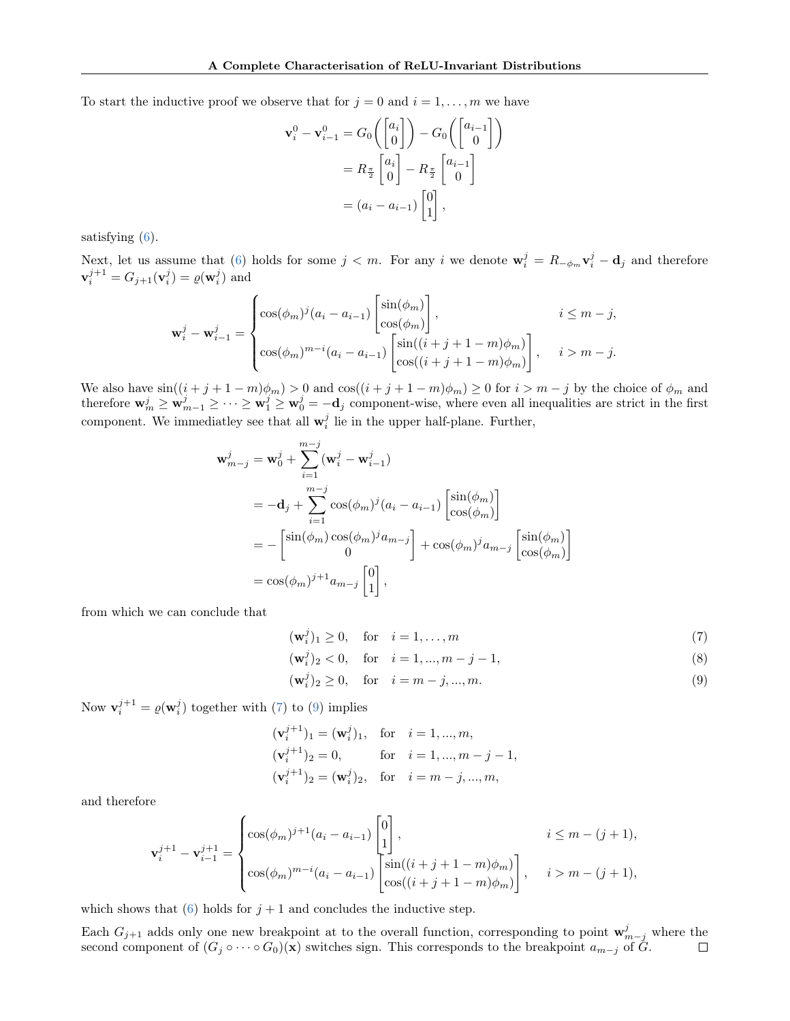To start the inductive proof we observe that for  $j = 0$  and  $i = 1, \ldots, m$  we have

$$
\mathbf{v}_i^0 - \mathbf{v}_{i-1}^0 = G_0 \begin{pmatrix} a_i \\ 0 \end{pmatrix} - G_0 \begin{pmatrix} a_{i-1} \\ 0 \end{pmatrix}
$$

$$
= R_{\frac{\pi}{2}} \begin{bmatrix} a_i \\ 0 \end{bmatrix} - R_{\frac{\pi}{2}} \begin{bmatrix} a_{i-1} \\ 0 \end{bmatrix}
$$

$$
= (a_i - a_{i-1}) \begin{bmatrix} 0 \\ 1 \end{bmatrix},
$$

satisfying [\(6\)](#page-14-2).

Next, let us assume that [\(6\)](#page-14-2) holds for some  $j < m$ . For any i we denote  $\mathbf{w}_i^j = R_{-\phi_m} \mathbf{v}_i^j - \mathbf{d}_j$  and therefore  $\mathbf{v}_{i}^{j+1} = G_{j+1}(\mathbf{v}_{i}^{j}) = \varrho(\mathbf{w}_{i}^{j})$  and

$$
\mathbf{w}_{i}^{j} - \mathbf{w}_{i-1}^{j} = \begin{cases} \cos(\phi_{m})^{j} (a_{i} - a_{i-1}) \begin{bmatrix} \sin(\phi_{m}) \\ \cos(\phi_{m}) \end{bmatrix}, & i \leq m - j, \\ \cos(\phi_{m})^{m-i} (a_{i} - a_{i-1}) \begin{bmatrix} \sin((i + j + 1 - m)\phi_{m}) \\ \cos((i + j + 1 - m)\phi_{m}) \end{bmatrix}, & i > m - j. \end{cases}
$$

We also have  $sin((i + j + 1 - m)\phi_m) > 0$  and  $cos((i + j + 1 - m)\phi_m) \ge 0$  for  $i > m - j$  by the choice of  $\phi_m$  and therefore  $\mathbf{w}_m^j \geq \mathbf{w}_{m-1}^j \geq \cdots \geq \mathbf{w}_1^j \geq \mathbf{w}_0^j = -\mathbf{d}_j$  component-wise, where even all inequalities are strict in the first component. We immediatley see that all  $\mathbf{w}_i^j$  lie in the upper half-plane. Further,

$$
\mathbf{w}_{m-j}^{j} = \mathbf{w}_{0}^{j} + \sum_{i=1}^{m-j} (\mathbf{w}_{i}^{j} - \mathbf{w}_{i-1}^{j})
$$
  
=  $-\mathbf{d}_{j} + \sum_{i=1}^{m-j} \cos(\phi_{m})^{j} (a_{i} - a_{i-1}) \begin{bmatrix} \sin(\phi_{m}) \\ \cos(\phi_{m}) \end{bmatrix}$   
=  $- \begin{bmatrix} \sin(\phi_{m}) \cos(\phi_{m})^{j} a_{m-j} \\ 0 \end{bmatrix} + \cos(\phi_{m})^{j} a_{m-j} \begin{bmatrix} \sin(\phi_{m}) \\ \cos(\phi_{m}) \end{bmatrix}$   
=  $\cos(\phi_{m})^{j+1} a_{m-j} \begin{bmatrix} 0 \\ 1 \end{bmatrix}$ ,

from which we can conclude that

<span id="page-15-0"></span>
$$
(\mathbf{w}_i^j)_1 \ge 0, \quad \text{for} \quad i = 1, \dots, m \tag{7}
$$

$$
(\mathbf{w}_i^j)_2 < 0, \quad \text{for} \quad i = 1, \dots, m - j - 1,\tag{8}
$$

<span id="page-15-1"></span>
$$
(\mathbf{w}_i^j)_2 \ge 0, \quad \text{for} \quad i = m - j, ..., m. \tag{9}
$$

Now  $\mathbf{v}_i^{j+1} = \varrho(\mathbf{w}_i^j)$  together with [\(7\)](#page-15-0) to [\(9\)](#page-15-1) implies  $\frac{1}{1+x}$ 

$$
(\mathbf{v}_i^{j+1})_1 = (\mathbf{w}_i^j)_1, \text{ for } i = 1, ..., m,
$$
  
\n
$$
(\mathbf{v}_i^{j+1})_2 = 0, \text{ for } i = 1, ..., m - j - 1,
$$
  
\n
$$
(\mathbf{v}_i^{j+1})_2 = (\mathbf{w}_i^j)_2, \text{ for } i = m - j, ..., m,
$$

and therefore

$$
\mathbf{v}_{i}^{j+1} - \mathbf{v}_{i-1}^{j+1} = \begin{cases} \cos(\phi_{m})^{j+1} (a_{i} - a_{i-1}) \begin{bmatrix} 0 \\ 1 \end{bmatrix}, & i \leq m - (j+1), \\ \cos(\phi_{m})^{m-i} (a_{i} - a_{i-1}) \begin{bmatrix} \sin((i+j+1-m)\phi_{m}) \\ \cos((i+j+1-m)\phi_{m}) \end{bmatrix}, & i > m - (j+1), \end{cases}
$$

which shows that [\(6\)](#page-14-2) holds for  $j + 1$  and concludes the inductive step.

Each  $G_{j+1}$  adds only one new breakpoint at to the overall function, corresponding to point  $\mathbf{w}_{m-j}^j$  where the second component of  $(G_j \circ \cdots \circ G_0)(\mathbf{x})$  switches sign. This corresponds to the breakpoint  $a_{m-j}$  of  $\tilde{G}$ .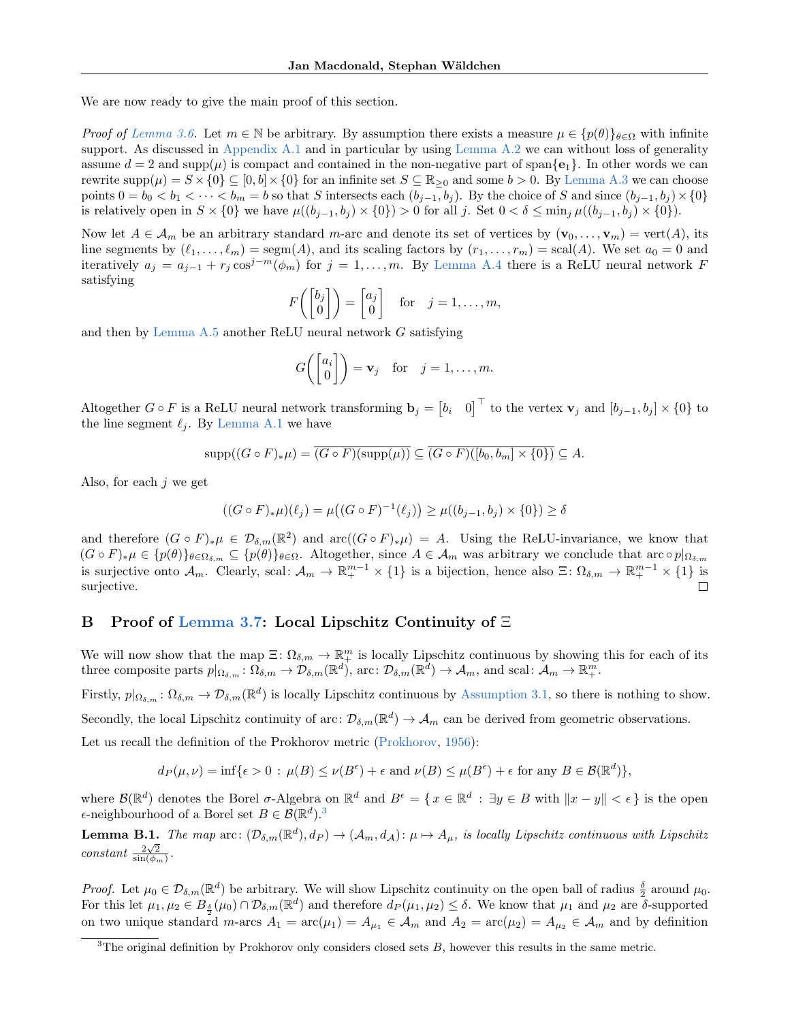We are now ready to give the main proof of this section.

Proof of [Lemma 3.6.](#page-5-2) Let  $m \in \mathbb{N}$  be arbitrary. By assumption there exists a measure  $\mu \in \{p(\theta)\}_{\theta \in \Omega}$  with infinite support. As discussed in [Appendix A.1](#page-10-2) and in particular by using [Lemma A.2](#page-10-3) we can without loss of generality assume  $d = 2$  and supp $(\mu)$  is compact and contained in the non-negative part of span $\{e_1\}$ . In other words we can rewrite  $\text{supp}(\mu) = S \times \{0\} \subseteq [0, b] \times \{0\}$  for an infinite set  $S \subseteq \mathbb{R}_{\geq 0}$  and some  $b > 0$ . By [Lemma A.3](#page-11-0) we can choose points  $0 = b_0 < b_1 < \cdots < b_m = b$  so that S intersects each  $(b_{i-1}, b_i)$ . By the choice of S and since  $(b_{i-1}, b_i) \times \{0\}$ is relatively open in  $S \times \{0\}$  we have  $\mu((b_{j-1}, b_j) \times \{0\}) > 0$  for all j. Set  $0 < \delta \le \min_j \mu((b_{j-1}, b_j) \times \{0\})$ .

Now let  $A \in \mathcal{A}_m$  be an arbitrary standard m-arc and denote its set of vertices by  $(\mathbf{v}_0, \dots, \mathbf{v}_m) = \text{vert}(A)$ , its line segments by  $(\ell_1, \ldots, \ell_m) = \text{segm}(A)$ , and its scaling factors by  $(r_1, \ldots, r_m) = \text{scal}(A)$ . We set  $a_0 = 0$  and iteratively  $a_j = a_{j-1} + r_j \cos^{j-m}(\phi_m)$  for  $j = 1, ..., m$ . By [Lemma A.4](#page-11-1) there is a ReLU neural network F satisfying

$$
F\left(\begin{bmatrix} b_j \\ 0 \end{bmatrix}\right) = \begin{bmatrix} a_j \\ 0 \end{bmatrix} \quad \text{for} \quad j = 1, \dots, m,
$$

and then by [Lemma A.5](#page-14-3) another ReLU neural network G satisfying

$$
G\left(\begin{bmatrix} a_i \\ 0 \end{bmatrix}\right) = \mathbf{v}_j \quad \text{for} \quad j = 1, \dots, m.
$$

Altogether  $G \circ F$  is a ReLU neural network transforming  $\mathbf{b}_j = \begin{bmatrix} b_i & 0 \end{bmatrix}^\top$  to the vertex  $\mathbf{v}_j$  and  $[b_{j-1}, b_j] \times \{0\}$  to the line segment  $\ell_j$ . By [Lemma A.1](#page-10-1) we have

$$
\mathrm{supp}((G\circ F)_*\mu)=(\overline{G\circ F})(\mathrm{supp}(\mu))\subseteq \overline{(G\circ F)([b_0,b_m]\times\{0\})}\subseteq A.
$$

Also, for each  $j$  we get

$$
((G \circ F)_*\mu)(\ell_j) = \mu((G \circ F)^{-1}(\ell_j)) \ge \mu((b_{j-1}, b_j) \times \{0\}) \ge \delta
$$

and therefore  $(G \circ F)_*\mu \in \mathcal{D}_{\delta,m}(\mathbb{R}^2)$  and  $\mathrm{arc}((G \circ F)_*\mu) = A$ . Using the ReLU-invariance, we know that  $(G \circ F)_*\mu \in \{p(\theta)\}_{\theta \in \Omega_{\delta,m}} \subseteq \{p(\theta)\}_{\theta \in \Omega}$ . Altogether, since  $A \in \mathcal{A}_m$  was arbitrary we conclude that arc  $\circ p|_{\Omega_{\delta,m}}$ is surjective onto  $\mathcal{A}_m$ . Clearly, scal:  $\mathcal{A}_m \to \mathbb{R}^{m-1}_+ \times \{1\}$  is a bijection, hence also  $\Xi \colon \Omega_{\delta,m} \to \mathbb{R}^{m-1}_+ \times \{1\}$  is surjective.

## <span id="page-16-0"></span>B Proof of [Lemma 3.7:](#page-5-3) Local Lipschitz Continuity of Ξ

We will now show that the map  $\Xi \colon \Omega_{\delta,m} \to \mathbb{R}^m_+$  is locally Lipschitz continuous by showing this for each of its three composite parts  $p|_{\Omega_{\delta,m}} \to \mathcal{D}_{\delta,m}(\mathbb{R}^d)$ , arc:  $\mathcal{D}_{\delta,m}(\mathbb{R}^d) \to \mathcal{A}_m$ , and scal:  $\mathcal{A}_m \to \mathbb{R}^m_+$ .

Firstly,  $p|_{\Omega_{\delta,m}} \colon \Omega_{\delta,m} \to \mathcal{D}_{\delta,m}(\mathbb{R}^d)$  is locally Lipschitz continuous by [Assumption 3.1,](#page-4-3) so there is nothing to show. Secondly, the local Lipschitz continuity of arc:  $\mathcal{D}_{\delta,m}(\mathbb{R}^d) \to \mathcal{A}_m$  can be derived from geometric observations. Let us recall the definition of the Prokhorov metric [\(Prokhorov,](#page-9-13) [1956\)](#page-9-13):

$$
d_P(\mu,\nu)=\inf\{\epsilon>0\,:\,\mu(B)\leq\nu(B^{\epsilon})+\epsilon\,\,\text{and}\,\,\nu(B)\leq\mu(B^{\epsilon})+\epsilon\,\,\text{for any}\,\,B\in\mathcal{B}(\mathbb{R}^d)\},
$$

where  $\mathcal{B}(\mathbb{R}^d)$  denotes the Borel  $\sigma$ -Algebra on  $\mathbb{R}^d$  and  $B^{\epsilon} = \{x \in \mathbb{R}^d : \exists y \in B \text{ with } ||x - y|| < \epsilon \}$  is the open  $\epsilon$ -neighbourhood of a Borel set  $B \in \mathcal{B}(\mathbb{R}^d)$ .<sup>[3](#page-16-1)</sup>

<span id="page-16-2"></span>**Lemma B.1.** The map arc:  $(\mathcal{D}_{\delta,m}(\mathbb{R}^d), d_P) \to (\mathcal{A}_m, d_A)$ :  $\mu \mapsto A_\mu$ , is locally Lipschitz continuous with Lipschitz constant  $\frac{2\sqrt{2}}{\sin(\phi_m)}$ .

Proof. Let  $\mu_0 \in \mathcal{D}_{\delta,m}(\mathbb{R}^d)$  be arbitrary. We will show Lipschitz continuity on the open ball of radius  $\frac{\delta}{2}$  around  $\mu_0$ . For this let  $\mu_1, \mu_2 \in B_{\frac{\delta}{2}}(\mu_0) \cap \mathcal{D}_{\delta,m}(\mathbb{R}^d)$  and therefore  $d_P(\mu_1, \mu_2) \leq \delta$ . We know that  $\mu_1$  and  $\mu_2$  are  $\delta$ -supported on two unique standard m-arcs  $A_1 = \text{arc}(\mu_1) = A_{\mu_1} \in \mathcal{A}_m$  and  $A_2 = \text{arc}(\mu_2) = A_{\mu_2} \in \mathcal{A}_m$  and by definition

<span id="page-16-1"></span> $3$ The original definition by Prokhorov only considers closed sets  $B$ , however this results in the same metric.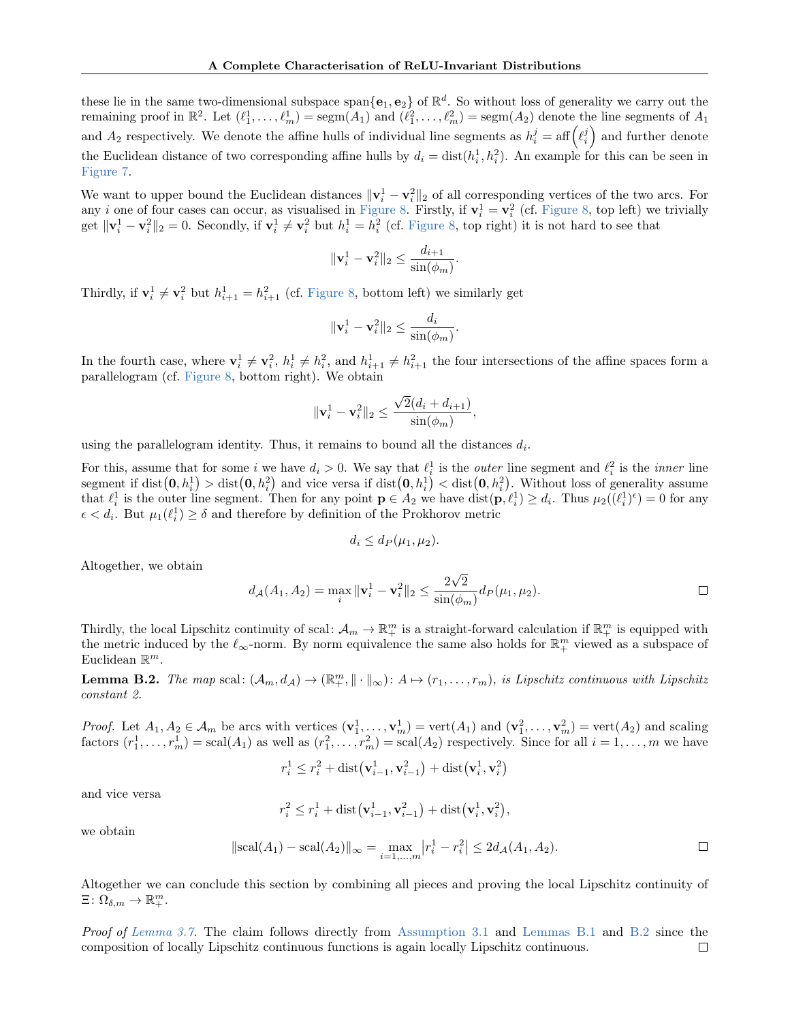these lie in the same two-dimensional subspace span $\{e_1, e_2\}$  of  $\mathbb{R}^d$ . So without loss of generality we carry out the remaining proof in  $\mathbb{R}^2$ . Let  $(\ell_1^1, \ldots, \ell_m^1) = \text{segm}(A_1)$  and  $(\ell_1^2, \ldots, \ell_m^2) = \text{segm}(A_2)$  denote the line segments of  $A_1$ and  $A_2$  respectively. We denote the affine hulls of individual line segments as  $h_i^j = \text{aff}(\ell_i^j)$  and further denote the Euclidean distance of two corresponding affine hulls by  $d_i = \text{dist}(h_i^1, h_i^2)$ . An example for this can be seen in [Figure 7.](#page-18-0)

We want to upper bound the Euclidean distances  $\|\mathbf{v}_i^1 - \mathbf{v}_i^2\|_2$  of all corresponding vertices of the two arcs. For any *i* one of four cases can occur, as visualised in [Figure 8.](#page-18-1) Firstly, if  $v_i^1 = v_i^2$  (cf. [Figure 8,](#page-18-1) top left) we trivially get  $\|\mathbf{v}_i^1 - \mathbf{v}_i^2\|_2 = 0$ . Secondly, if  $\mathbf{v}_i^1 \neq \mathbf{v}_i^2$  but  $h_i^1 = h_i^2$  (cf. [Figure 8,](#page-18-1) top right) it is not hard to see that

$$
\|\mathbf{v}_i^1 - \mathbf{v}_i^2\|_2 \le \frac{d_{i+1}}{\sin(\phi_m)}.
$$

Thirdly, if  $\mathbf{v}_i^1 \neq \mathbf{v}_i^2$  but  $h_{i+1}^1 = h_{i+1}^2$  (cf. [Figure 8,](#page-18-1) bottom left) we similarly get

$$
\|\mathbf{v}_i^1 - \mathbf{v}_i^2\|_2 \le \frac{d_i}{\sin(\phi_m)}.
$$

In the fourth case, where  $\mathbf{v}_i^1 \neq \mathbf{v}_i^2$ ,  $h_i^1 \neq h_i^2$ , and  $h_{i+1}^1 \neq h_{i+1}^2$  the four intersections of the affine spaces form a parallelogram (cf. [Figure 8,](#page-18-1) bottom right). We obtain

$$
\|\mathbf{v}_i^1 - \mathbf{v}_i^2\|_2 \le \frac{\sqrt{2}(d_i + d_{i+1})}{\sin(\phi_m)},
$$

using the parallelogram identity. Thus, it remains to bound all the distances  $d_i$ .

For this, assume that for some i we have  $d_i > 0$ . We say that  $\ell_i^1$  is the *outer* line segment and  $\ell_i^2$  is the *inner* line segment if  $dist(0, h_i^1) > dist(0, h_i^2)$  and vice versa if  $dist(0, h_i^1) < dist(0, h_i^2)$ . Without loss of generality assume that  $\ell_i^1$  is the outer line segment. Then for any point  $\mathbf{p} \in A_2$  we have  $\text{dist}(\mathbf{p}, \ell_i^1) \geq d_i$ . Thus  $\mu_2((\ell_i^1)^{\epsilon}) = 0$  for any  $\epsilon < d_i$ . But  $\mu_1(\ell_i^1) \ge \delta$  and therefore by definition of the Prokhorov metric

$$
d_i \leq d_P(\mu_1, \mu_2).
$$

Altogether, we obtain

$$
d_{\mathcal{A}}(A_1, A_2) = \max_{i} \|\mathbf{v}_i^1 - \mathbf{v}_i^2\|_2 \le \frac{2\sqrt{2}}{\sin(\phi_m)} d_P(\mu_1, \mu_2).
$$

Thirdly, the local Lipschitz continuity of scal:  $\mathcal{A}_m \to \mathbb{R}^m_+$  is a straight-forward calculation if  $\mathbb{R}^m_+$  is equipped with the metric induced by the  $\ell_{\infty}$ -norm. By norm equivalence the same also holds for  $\mathbb{R}^m_+$  viewed as a subspace of Euclidean  $\mathbb{R}^m$ .

<span id="page-17-0"></span>**Lemma B.2.** The map scal:  $(A_m, d_A) \to (\mathbb{R}^m_+, \|\cdot\|_{\infty})$ :  $A \mapsto (r_1, \ldots, r_m)$ , is Lipschitz continuous with Lipschitz constant 2.

*Proof.* Let  $A_1, A_2 \in \mathcal{A}_m$  be arcs with vertices  $(\mathbf{v}_1^1, \dots, \mathbf{v}_m^1) = \text{vert}(A_1)$  and  $(\mathbf{v}_1^2, \dots, \mathbf{v}_m^2) = \text{vert}(A_2)$  and scaling factors  $(r_1^1, \ldots, r_m^1) = \text{scal}(A_1)$  as well as  $(r_1^2, \ldots, r_m^2) = \text{scal}(A_2)$  respectively. Since for all  $i = 1, \ldots, m$  we have

$$
r_i^1 \leq r_i^2 + \text{dist}(\mathbf{v}_{i-1}^1, \mathbf{v}_{i-1}^2) + \text{dist}(\mathbf{v}_i^1, \mathbf{v}_i^2)
$$

and vice versa

$$
r_i^2 \le r_i^1 + \text{dist}(\mathbf{v}_{i-1}^1, \mathbf{v}_{i-1}^2) + \text{dist}(\mathbf{v}_i^1, \mathbf{v}_i^2),
$$

we obtain

$$
\|\text{scal}(A_1) - \text{scal}(A_2)\|_{\infty} = \max_{i=1,\dots,m} |r_i^1 - r_i^2| \le 2d_{\mathcal{A}}(A_1, A_2).
$$

Altogether we can conclude this section by combining all pieces and proving the local Lipschitz continuity of  $\Xi\colon \Omega_{\delta,m}\to\mathbb{R}^m_+.$ 

Proof of [Lemma 3.7.](#page-5-3) The claim follows directly from [Assumption 3.1](#page-4-3) and [Lemmas B.1](#page-16-2) and [B.2](#page-17-0) since the composition of locally Lipschitz continuous functions is again locally Lipschitz continuous. $\Box$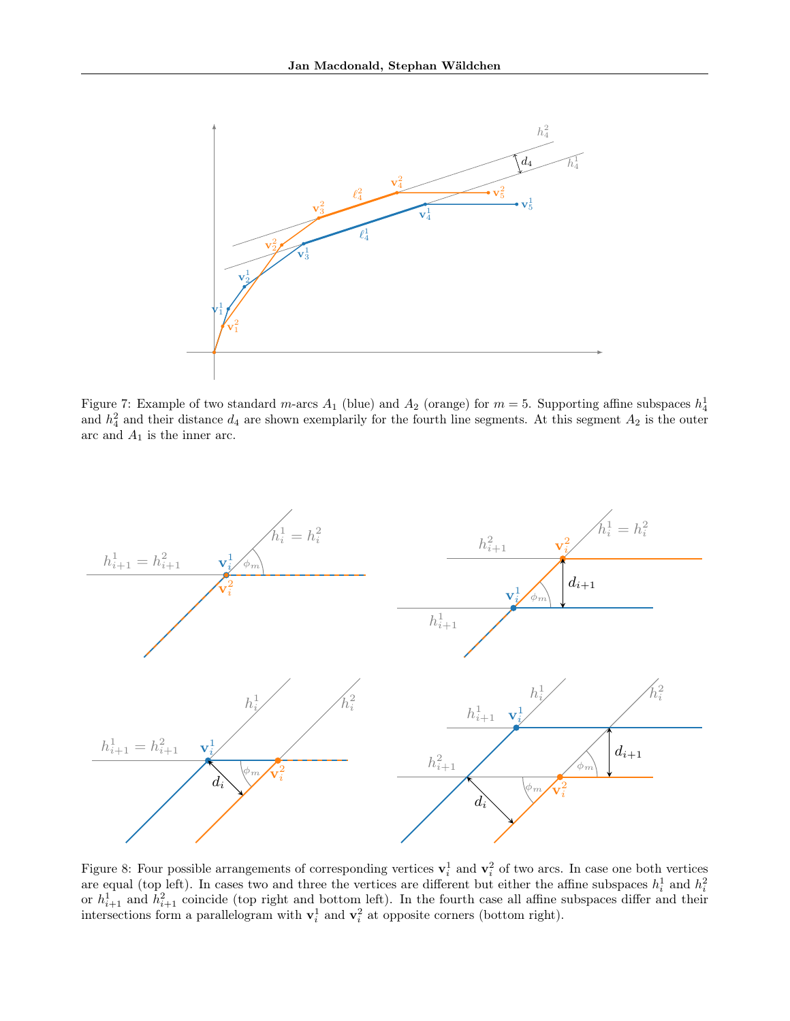

<span id="page-18-0"></span>Figure 7: Example of two standard m-arcs  $A_1$  (blue) and  $A_2$  (orange) for  $m = 5$ . Supporting affine subspaces  $h_4^1$ and  $h_4^2$  and their distance  $d_4$  are shown exemplarily for the fourth line segments. At this segment  $A_2$  is the outer arc and  $A_1$  is the inner arc.



<span id="page-18-1"></span>Figure 8: Four possible arrangements of corresponding vertices  $\mathbf{v}_i^1$  and  $\mathbf{v}_i^2$  of two arcs. In case one both vertices are equal (top left). In cases two and three the vertices are different but either the affine subspaces  $h_i^1$  and  $h_i^2$ or  $h_{i+1}^1$  and  $h_{i+1}^2$  coincide (top right and bottom left). In the fourth case all affine subspaces differ and their intersections form a parallelogram with  $\mathbf{v}_i^1$  and  $\mathbf{v}_i^2$  at opposite corners (bottom right).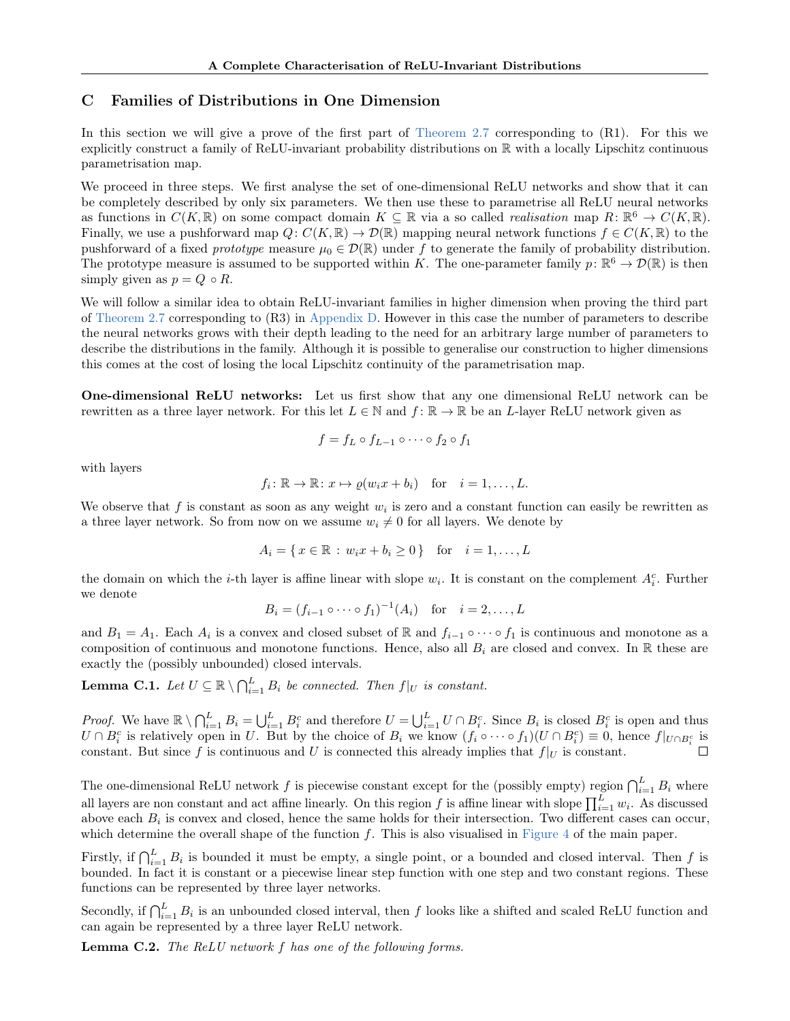## <span id="page-19-0"></span>C Families of Distributions in One Dimension

In this section we will give a prove of the first part of [Theorem 2.7](#page-3-1) corresponding to (R1). For this we explicitly construct a family of ReLU-invariant probability distributions on R with a locally Lipschitz continuous parametrisation map.

We proceed in three steps. We first analyse the set of one-dimensional ReLU networks and show that it can be completely described by only six parameters. We then use these to parametrise all ReLU neural networks as functions in  $C(K, \mathbb{R})$  on some compact domain  $K \subseteq \mathbb{R}$  via a so called *realisation* map  $R: \mathbb{R}^6 \to C(K, \mathbb{R})$ . Finally, we use a pushforward map  $Q: C(K, \mathbb{R}) \to \mathcal{D}(\mathbb{R})$  mapping neural network functions  $f \in C(K, \mathbb{R})$  to the pushforward of a fixed *prototype* measure  $\mu_0 \in \mathcal{D}(\mathbb{R})$  under f to generate the family of probability distribution. The prototype measure is assumed to be supported within K. The one-parameter family  $p: \mathbb{R}^6 \to \mathcal{D}(\mathbb{R})$  is then simply given as  $p = Q \circ R$ .

We will follow a similar idea to obtain ReLU-invariant families in higher dimension when proving the third part of [Theorem 2.7](#page-3-1) corresponding to (R3) in [Appendix D.](#page-21-0) However in this case the number of parameters to describe the neural networks grows with their depth leading to the need for an arbitrary large number of parameters to describe the distributions in the family. Although it is possible to generalise our construction to higher dimensions this comes at the cost of losing the local Lipschitz continuity of the parametrisation map.

One-dimensional ReLU networks: Let us first show that any one dimensional ReLU network can be rewritten as a three layer network. For this let  $L \in \mathbb{N}$  and  $f: \mathbb{R} \to \mathbb{R}$  be an L-layer ReLU network given as

$$
f = f_L \circ f_{L-1} \circ \cdots \circ f_2 \circ f_1
$$

with layers

$$
f_i: \mathbb{R} \to \mathbb{R}: x \mapsto \varrho(w_i x + b_i) \quad \text{for} \quad i = 1, \dots, L.
$$

We observe that  $f$  is constant as soon as any weight  $w_i$  is zero and a constant function can easily be rewritten as a three layer network. So from now on we assume  $w_i \neq 0$  for all layers. We denote by

$$
A_i = \{x \in \mathbb{R} : w_i x + b_i \ge 0\}
$$
 for  $i = 1, ..., L$ 

the domain on which the *i*-th layer is affine linear with slope  $w_i$ . It is constant on the complement  $A_i^c$ . Further we denote

$$
B_i = (f_{i-1} \circ \cdots \circ f_1)^{-1}(A_i)
$$
 for  $i = 2, ..., L$ 

and  $B_1 = A_1$ . Each  $A_i$  is a convex and closed subset of R and  $f_{i-1} \circ \cdots \circ f_1$  is continuous and monotone as a composition of continuous and monotone functions. Hence, also all  $B_i$  are closed and convex. In R these are exactly the (possibly unbounded) closed intervals.

<span id="page-19-1"></span>**Lemma C.1.** Let  $U \subseteq \mathbb{R} \setminus \bigcap_{i=1}^{L} B_i$  be connected. Then  $f|_{U}$  is constant.

fi

*Proof.* We have  $\mathbb{R} \setminus \bigcap_{i=1}^L B_i = \bigcup_{i=1}^L B_i^c$  and therefore  $U = \bigcup_{i=1}^L U \cap B_i^c$ . Since  $B_i$  is closed  $B_i^c$  is open and thus  $U \cap B_i^c$  is relatively open in U. But by the choice of  $B_i$  we know  $(f_i \circ \cdots \circ f_1)(U \cap B_i^c) \equiv 0$ , hence  $f|_{U \cap B_i^c}$  is constant. But since f is continuous and U is connected this already implies that  $f|_U$  is constant.

The one-dimensional ReLU network f is piecewise constant except for the (possibly empty) region  $\bigcap_{i=1}^L B_i$  where all layers are non constant and act affine linearly. On this region f is affine linear with slope  $\prod_{i=1}^{L} w_i$ . As discussed above each  $B_i$  is convex and closed, hence the same holds for their intersection. Two different cases can occur, which determine the overall shape of the function  $f$ . This is also visualised in [Figure 4](#page-6-0) of the main paper.

Firstly, if  $\bigcap_{i=1}^L B_i$  is bounded it must be empty, a single point, or a bounded and closed interval. Then f is bounded. In fact it is constant or a piecewise linear step function with one step and two constant regions. These functions can be represented by three layer networks.

Secondly, if  $\bigcap_{i=1}^{L} B_i$  is an unbounded closed interval, then f looks like a shifted and scaled ReLU function and can again be represented by a three layer ReLU network.

<span id="page-19-2"></span>**Lemma C.2.** The ReLU network  $f$  has one of the following forms.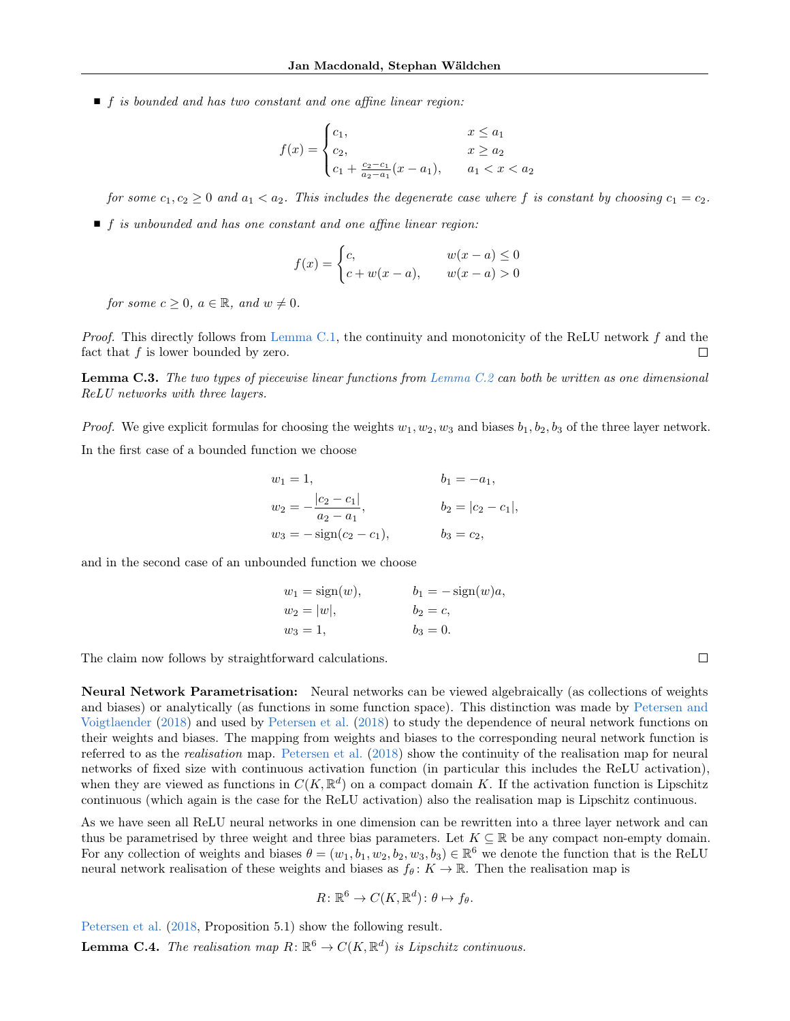$\blacksquare$  f is bounded and has two constant and one affine linear region:

$$
f(x) = \begin{cases} c_1, & x \le a_1 \\ c_2, & x \ge a_2 \\ c_1 + \frac{c_2 - c_1}{a_2 - a_1}(x - a_1), & a_1 < x < a_2 \end{cases}
$$

for some  $c_1, c_2 \geq 0$  and  $a_1 < a_2$ . This includes the degenerate case where f is constant by choosing  $c_1 = c_2$ .

 $\blacksquare$  f is unbounded and has one constant and one affine linear region:

$$
f(x) = \begin{cases} c, & w(x - a) \le 0\\ c + w(x - a), & w(x - a) > 0 \end{cases}
$$

for some  $c \geq 0$ ,  $a \in \mathbb{R}$ , and  $w \neq 0$ .

*Proof.* This directly follows from [Lemma C.1,](#page-19-1) the continuity and monotonicity of the ReLU network f and the fact that  $f$  is lower bounded by zero. П

**Lemma C.3.** The two types of piecewise linear functions from [Lemma C.2](#page-19-2) can both be written as one dimensional ReLU networks with three layers.

*Proof.* We give explicit formulas for choosing the weights  $w_1, w_2, w_3$  and biases  $b_1, b_2, b_3$  of the three layer network. In the first case of a bounded function we choose

$$
w_1 = 1,
$$
  
\n
$$
b_1 = -a_1,
$$
  
\n
$$
w_2 = -\frac{|c_2 - c_1|}{a_2 - a_1},
$$
  
\n
$$
b_2 = |c_2 - c_1|,
$$
  
\n
$$
b_3 = c_2,
$$

and in the second case of an unbounded function we choose

$$
w_1 = sign(w),
$$
  $b_1 = -sign(w)a,$   
\n $w_2 = |w|,$   $b_2 = c,$   
\n $w_3 = 1,$   $b_3 = 0.$ 

The claim now follows by straightforward calculations.

Neural Network Parametrisation: Neural networks can be viewed algebraically (as collections of weights and biases) or analytically (as functions in some function space). This distinction was made by [Petersen and](#page-9-17) [Voigtlaender](#page-9-17) [\(2018\)](#page-9-17) and used by [Petersen et al.](#page-9-18) [\(2018\)](#page-9-18) to study the dependence of neural network functions on their weights and biases. The mapping from weights and biases to the corresponding neural network function is referred to as the realisation map. [Petersen et al.](#page-9-18) [\(2018\)](#page-9-18) show the continuity of the realisation map for neural networks of fixed size with continuous activation function (in particular this includes the ReLU activation), when they are viewed as functions in  $C(K, \mathbb{R}^d)$  on a compact domain K. If the activation function is Lipschitz continuous (which again is the case for the ReLU activation) also the realisation map is Lipschitz continuous.

As we have seen all ReLU neural networks in one dimension can be rewritten into a three layer network and can thus be parametrised by three weight and three bias parameters. Let  $K \subseteq \mathbb{R}$  be any compact non-empty domain. For any collection of weights and biases  $\theta = (w_1, b_1, w_2, b_2, w_3, b_3) \in \mathbb{R}^6$  we denote the function that is the ReLU neural network realisation of these weights and biases as  $f_{\theta} : K \to \mathbb{R}$ . Then the realisation map is

$$
R \colon \mathbb{R}^6 \to C(K, \mathbb{R}^d) \colon \theta \mapsto f_\theta.
$$

[Petersen et al.](#page-9-18) [\(2018,](#page-9-18) Proposition 5.1) show the following result.

**Lemma C.4.** The realisation map  $R: \mathbb{R}^6 \to C(K, \mathbb{R}^d)$  is Lipschitz continuous.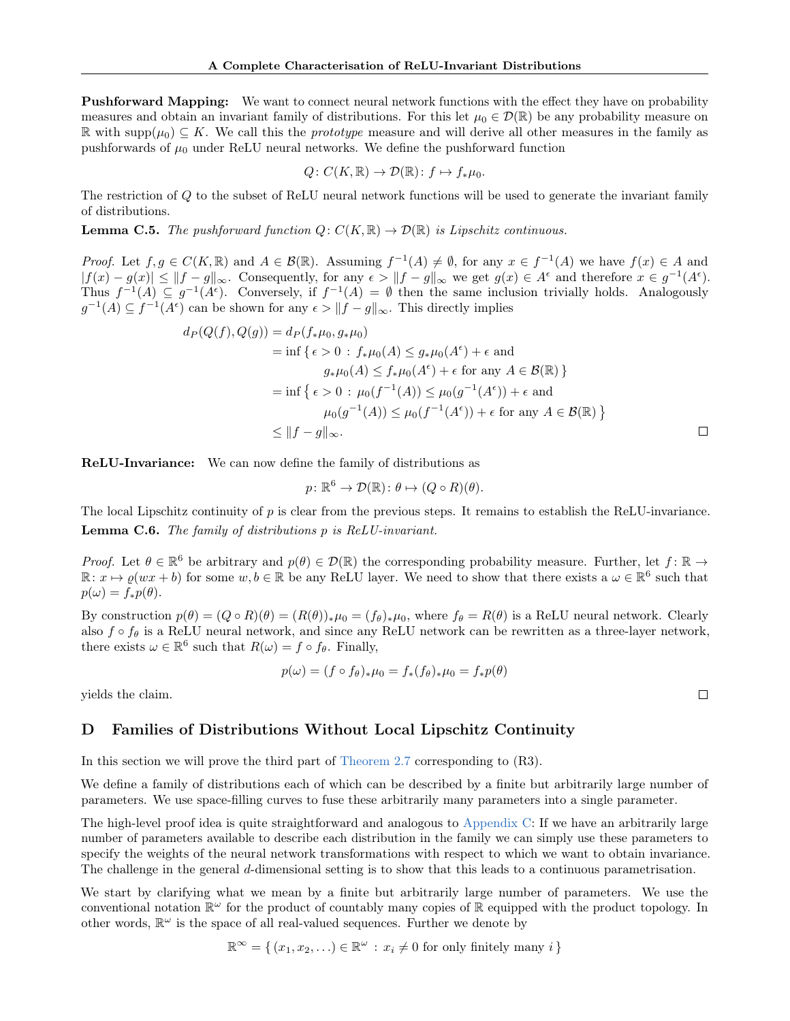**Pushforward Mapping:** We want to connect neural network functions with the effect they have on probability measures and obtain an invariant family of distributions. For this let  $\mu_0 \in \mathcal{D}(\mathbb{R})$  be any probability measure on R with supp $(\mu_0) \subseteq K$ . We call this the *prototype* measure and will derive all other measures in the family as pushforwards of  $\mu_0$  under ReLU neural networks. We define the pushforward function

$$
Q\colon C(K,\mathbb{R})\to \mathcal{D}(\mathbb{R})\colon f\mapsto f_*\mu_0.
$$

The restriction of Q to the subset of ReLU neural network functions will be used to generate the invariant family of distributions.

**Lemma C.5.** The pushforward function  $Q: C(K, \mathbb{R}) \to \mathcal{D}(\mathbb{R})$  is Lipschitz continuous.

*Proof.* Let  $f, g \in C(K, \mathbb{R})$  and  $A \in \mathcal{B}(\mathbb{R})$ . Assuming  $f^{-1}(A) \neq \emptyset$ , for any  $x \in f^{-1}(A)$  we have  $f(x) \in A$  and  $|f(x) - g(x)| \leq ||f - g||_{\infty}$ . Consequently, for any  $\epsilon > ||f - g||_{\infty}$  we get  $g(x) \in A^{\epsilon}$  and therefore  $x \in g^{-1}(A^{\epsilon})$ . Thus  $f^{-1}(A) \subseteq g^{-1}(A^{\epsilon})$ . Conversely, if  $f^{-1}(A) = \emptyset$  then the same inclusion trivially holds. Analogously  $g^{-1}(A) \subseteq f^{-1}(A^{\epsilon})$  can be shown for any  $\epsilon > ||f - g||_{\infty}$ . This directly implies

$$
d_P(Q(f), Q(g)) = d_P(f_*\mu_0, g_*\mu_0)
$$
  
= inf { $\epsilon > 0$  :  $f_*\mu_0(A) \leq g_*\mu_0(A^{\epsilon}) + \epsilon$  and  
 $g_*\mu_0(A) \leq f_*\mu_0(A^{\epsilon}) + \epsilon$  for any  $A \in \mathcal{B}(\mathbb{R})$ }  
= inf { $\epsilon > 0$  :  $\mu_0(f^{-1}(A)) \leq \mu_0(g^{-1}(A^{\epsilon})) + \epsilon$  and  
 $\mu_0(g^{-1}(A)) \leq \mu_0(f^{-1}(A^{\epsilon})) + \epsilon$  for any  $A \in \mathcal{B}(\mathbb{R})$ }  
 $\leq ||f - g||_{\infty}$ .

ReLU-Invariance: We can now define the family of distributions as

$$
p \colon \mathbb{R}^6 \to \mathcal{D}(\mathbb{R}) \colon \theta \mapsto (Q \circ R)(\theta).
$$

The local Lipschitz continuity of  $p$  is clear from the previous steps. It remains to establish the ReLU-invariance. **Lemma C.6.** The family of distributions  $p$  is ReLU-invariant.

Proof. Let  $\theta \in \mathbb{R}^6$  be arbitrary and  $p(\theta) \in \mathcal{D}(\mathbb{R})$  the corresponding probability measure. Further, let  $f: \mathbb{R} \to$  $\mathbb{R}: x \mapsto \varrho(wx+b)$  for some  $w, b \in \mathbb{R}$  be any ReLU layer. We need to show that there exists a  $\omega \in \mathbb{R}^6$  such that  $p(\omega) = f_* p(\theta).$ 

By construction  $p(\theta) = (Q \circ R)(\theta) = (R(\theta))_{*} \mu_0 = (f_{\theta})_{*} \mu_0$ , where  $f_{\theta} = R(\theta)$  is a ReLU neural network. Clearly also  $f \circ f_{\theta}$  is a ReLU neural network, and since any ReLU network can be rewritten as a three-layer network, there exists  $\omega \in \mathbb{R}^6$  such that  $R(\omega) = f \circ f_{\theta}$ . Finally,

$$
p(\omega) = (f \circ f_{\theta})_{*}\mu_0 = f_{*}(f_{\theta})_{*}\mu_0 = f_{*}p(\theta)
$$

yields the claim.

## <span id="page-21-0"></span>D Families of Distributions Without Local Lipschitz Continuity

In this section we will prove the third part of [Theorem 2.7](#page-3-1) corresponding to (R3).

We define a family of distributions each of which can be described by a finite but arbitrarily large number of parameters. We use space-filling curves to fuse these arbitrarily many parameters into a single parameter.

The high-level proof idea is quite straightforward and analogous to [Appendix C:](#page-19-0) If we have an arbitrarily large number of parameters available to describe each distribution in the family we can simply use these parameters to specify the weights of the neural network transformations with respect to which we want to obtain invariance. The challenge in the general d-dimensional setting is to show that this leads to a continuous parametrisation.

We start by clarifying what we mean by a finite but arbitrarily large number of parameters. We use the conventional notation  $\mathbb{R}^{\omega}$  for the product of countably many copies of  $\mathbb{R}$  equipped with the product topology. In other words,  $\mathbb{R}^{\omega}$  is the space of all real-valued sequences. Further we denote by

$$
\mathbb{R}^{\infty} = \{ (x_1, x_2, \ldots) \in \mathbb{R}^{\omega} : x_i \neq 0 \text{ for only finitely many } i \}
$$

 $\Box$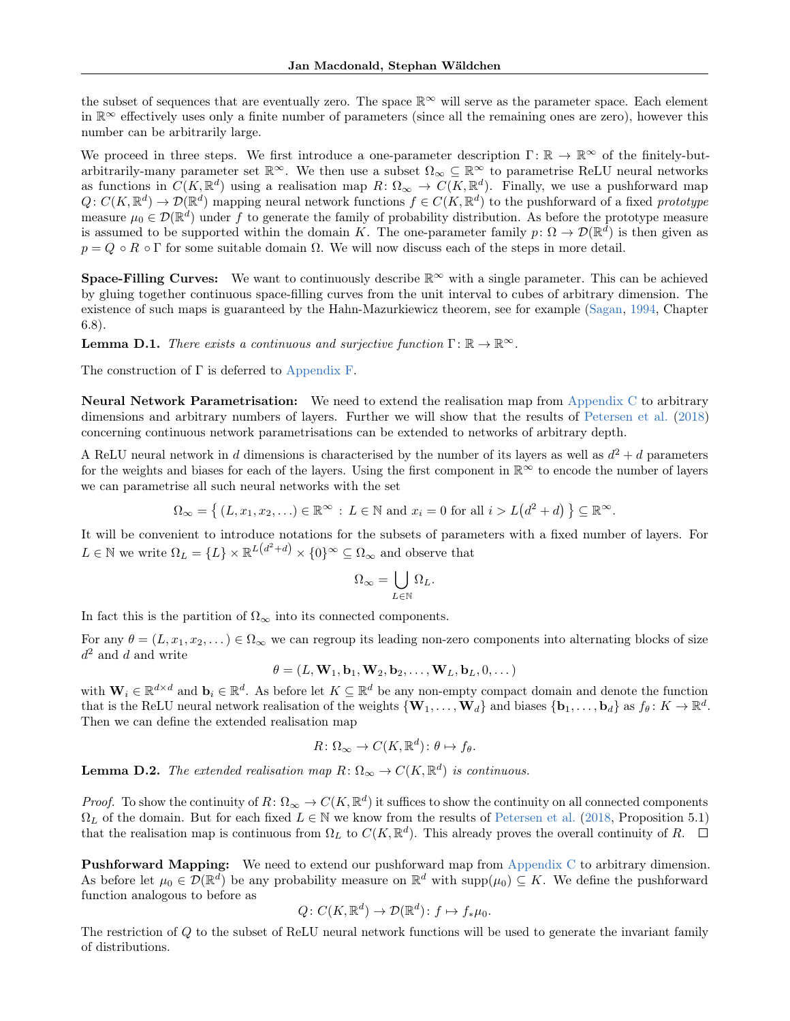the subset of sequences that are eventually zero. The space  $\mathbb{R}^{\infty}$  will serve as the parameter space. Each element in R<sup>∞</sup> effectively uses only a finite number of parameters (since all the remaining ones are zero), however this number can be arbitrarily large.

We proceed in three steps. We first introduce a one-parameter description  $\Gamma: \mathbb{R} \to \mathbb{R}^{\infty}$  of the finitely-butarbitrarily-many parameter set  $\mathbb{R}^{\infty}$ . We then use a subset  $\Omega_{\infty} \subseteq \mathbb{R}^{\infty}$  to parametrise ReLU neural networks as functions in  $C(K, \mathbb{R}^d)$  using a realisation map  $R: \Omega_\infty \to C(K, \mathbb{R}^d)$ . Finally, we use a pushforward map  $Q: C(K, \mathbb{R}^d) \to \mathcal{D}(\mathbb{R}^d)$  mapping neural network functions  $f \in C(K, \mathbb{R}^d)$  to the pushforward of a fixed prototype measure  $\mu_0 \in \mathcal{D}(\mathbb{R}^d)$  under f to generate the family of probability distribution. As before the prototype measure is assumed to be supported within the domain K. The one-parameter family  $p: \Omega \to \mathcal{D}(\mathbb{R}^d)$  is then given as  $p = Q \circ R \circ \Gamma$  for some suitable domain  $\Omega$ . We will now discuss each of the steps in more detail.

**Space-Filling Curves:** We want to continuously describe  $\mathbb{R}^{\infty}$  with a single parameter. This can be achieved by gluing together continuous space-filling curves from the unit interval to cubes of arbitrary dimension. The existence of such maps is guaranteed by the Hahn-Mazurkiewicz theorem, see for example [\(Sagan,](#page-9-16) [1994,](#page-9-16) Chapter 6.8).

<span id="page-22-0"></span>**Lemma D.1.** There exists a continuous and surjective function  $\Gamma: \mathbb{R} \to \mathbb{R}^{\infty}$ .

The construction of  $\Gamma$  is deferred to [Appendix F.](#page-24-1)

Neural Network Parametrisation: We need to extend the realisation map from [Appendix C](#page-19-0) to arbitrary dimensions and arbitrary numbers of layers. Further we will show that the results of [Petersen et al.](#page-9-18) [\(2018\)](#page-9-18) concerning continuous network parametrisations can be extended to networks of arbitrary depth.

A ReLU neural network in d dimensions is characterised by the number of its layers as well as  $d^2 + d$  parameters for the weights and biases for each of the layers. Using the first component in  $\mathbb{R}^{\infty}$  to encode the number of layers we can parametrise all such neural networks with the set

$$
\Omega_{\infty} = \left\{ (L, x_1, x_2, \ldots) \in \mathbb{R}^{\infty} : L \in \mathbb{N} \text{ and } x_i = 0 \text{ for all } i > L(d^2 + d) \right\} \subseteq \mathbb{R}^{\infty}.
$$

It will be convenient to introduce notations for the subsets of parameters with a fixed number of layers. For  $L \in \mathbb{N}$  we write  $\Omega_L = \{L\} \times \mathbb{R}^{L(d^2+d)} \times \{0\}^{\infty} \subseteq \Omega_{\infty}$  and observe that

$$
\Omega_\infty = \bigcup_{L\in\mathbb{N}} \Omega_L.
$$

In fact this is the partition of  $\Omega_{\infty}$  into its connected components.

For any  $\theta = (L, x_1, x_2, \dots) \in \Omega_\infty$  we can regroup its leading non-zero components into alternating blocks of size  $d^2$  and d and write

 $\theta = (L, \mathbf{W}_1, \mathbf{b}_1, \mathbf{W}_2, \mathbf{b}_2, \dots, \mathbf{W}_L, \mathbf{b}_L, 0, \dots)$ 

with  $\mathbf{W}_i \in \mathbb{R}^{d \times d}$  and  $\mathbf{b}_i \in \mathbb{R}^d$ . As before let  $K \subseteq \mathbb{R}^d$  be any non-empty compact domain and denote the function that is the ReLU neural network realisation of the weights  $\{ \mathbf{W}_1, \ldots, \mathbf{W}_d \}$  and biases  $\{ \mathbf{b}_1, \ldots, \mathbf{b}_d \}$  as  $f_\theta \colon K \to \mathbb{R}^d$ . Then we can define the extended realisation map

$$
R \colon \Omega_{\infty} \to C(K, \mathbb{R}^d) \colon \theta \mapsto f_{\theta}.
$$

**Lemma D.2.** The extended realisation map  $R: \Omega_{\infty} \to C(K, \mathbb{R}^d)$  is continuous.

*Proof.* To show the continuity of  $R: \Omega_{\infty} \to C(K, \mathbb{R}^d)$  it suffices to show the continuity on all connected components  $\Omega_L$  of the domain. But for each fixed  $L \in \mathbb{N}$  we know from the results of [Petersen et al.](#page-9-18) [\(2018,](#page-9-18) Proposition 5.1) that the realisation map is continuous from  $\Omega_L$  to  $C(K, \mathbb{R}^d)$ . This already proves the overall continuity of R.

Pushforward Mapping: We need to extend our pushforward map from [Appendix C](#page-19-0) to arbitrary dimension. As before let  $\mu_0 \in \mathcal{D}(\mathbb{R}^d)$  be any probability measure on  $\mathbb{R}^d$  with  $\text{supp}(\mu_0) \subseteq K$ . We define the pushforward function analogous to before as

$$
Q\colon C(K,\mathbb{R}^d)\to \mathcal{D}(\mathbb{R}^d)\colon f\mapsto f_*\mu_0.
$$

The restriction of Q to the subset of ReLU neural network functions will be used to generate the invariant family of distributions.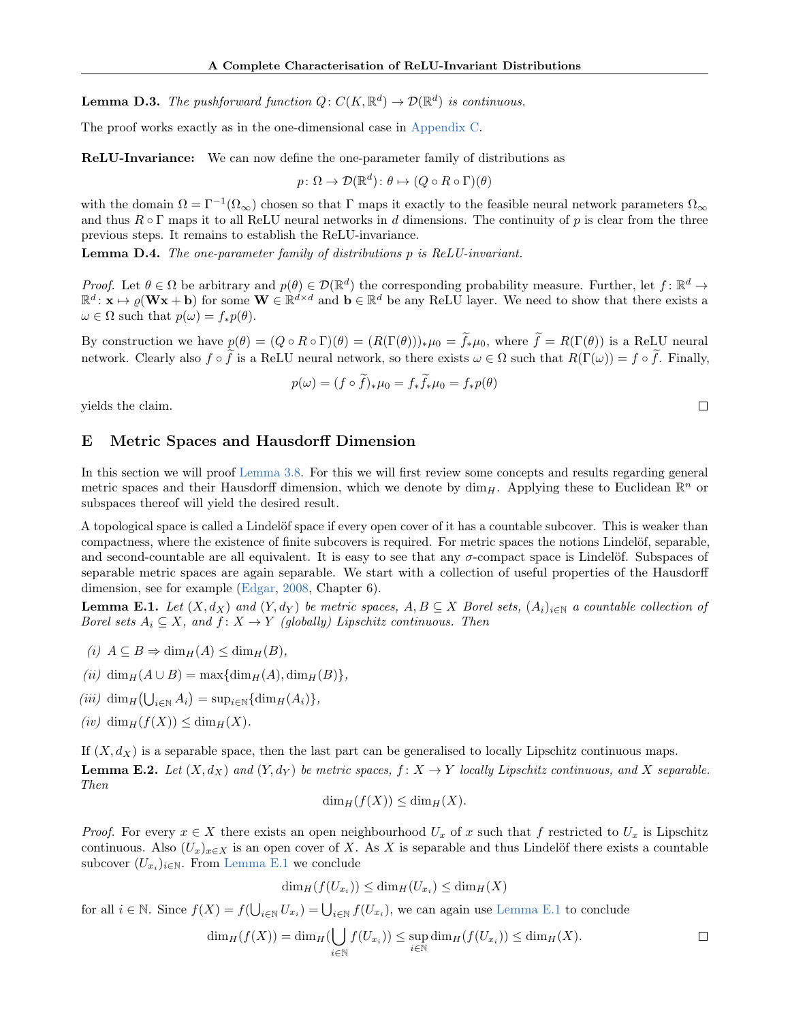**Lemma D.3.** The pushforward function  $Q: C(K, \mathbb{R}^d) \to \mathcal{D}(\mathbb{R}^d)$  is continuous.

The proof works exactly as in the one-dimensional case in [Appendix C.](#page-19-0)

ReLU-Invariance: We can now define the one-parameter family of distributions as

 $p \colon \Omega \to \mathcal{D}(\mathbb{R}^d) \colon \theta \mapsto (Q \circ R \circ \Gamma)(\theta)$ 

with the domain  $\Omega = \Gamma^{-1}(\Omega_{\infty})$  chosen so that  $\Gamma$  maps it exactly to the feasible neural network parameters  $\Omega_{\infty}$ and thus  $R \circ \Gamma$  maps it to all ReLU neural networks in d dimensions. The continuity of p is clear from the three previous steps. It remains to establish the ReLU-invariance.

Lemma D.4. The one-parameter family of distributions p is ReLU-invariant.

Proof. Let  $\theta \in \Omega$  be arbitrary and  $p(\theta) \in \mathcal{D}(\mathbb{R}^d)$  the corresponding probability measure. Further, let  $f: \mathbb{R}^d \to$  $\mathbb{R}^d$ :  $\mathbf{x} \mapsto \varrho(\mathbf{W}\mathbf{x} + \mathbf{b})$  for some  $\mathbf{W} \in \mathbb{R}^{d \times d}$  and  $\mathbf{b} \in \mathbb{R}^d$  be any ReLU layer. We need to show that there exists a  $\omega \in \Omega$  such that  $p(\omega) = f_* p(\theta)$ .

By construction we have  $p(\theta) = (Q \circ R \circ \Gamma)(\theta) = (R(\Gamma(\theta)))_* \mu_0 = \tilde{f}_* \mu_0$ , where  $\tilde{f} = R(\Gamma(\theta))$  is a ReLU neural network. Clearly also  $f \circ f$  is a ReLU neural network, so there exists  $\omega \in \Omega$  such that  $R(\Gamma(\omega)) = f \circ f$ . Finally,

$$
p(\omega) = (f \circ f)_*\mu_0 = f_*\tilde{f}_*\mu_0 = f_*p(\theta)
$$

 $\Box$ 

yields the claim.

### <span id="page-23-0"></span>E Metric Spaces and Hausdorff Dimension

In this section we will proof [Lemma 3.8.](#page-5-4) For this we will first review some concepts and results regarding general metric spaces and their Hausdorff dimension, which we denote by  $\dim_H$ . Applying these to Euclidean  $\mathbb{R}^n$  or subspaces thereof will yield the desired result.

A topological space is called a Lindelöf space if every open cover of it has a countable subcover. This is weaker than compactness, where the existence of finite subcovers is required. For metric spaces the notions Lindelöf, separable, and second-countable are all equivalent. It is easy to see that any  $\sigma$ -compact space is Lindelöf. Subspaces of separable metric spaces are again separable. We start with a collection of useful properties of the Hausdorff dimension, see for example [\(Edgar,](#page-8-19) [2008,](#page-8-19) Chapter 6).

<span id="page-23-1"></span>**Lemma E.1.** Let  $(X, d_X)$  and  $(Y, d_Y)$  be metric spaces,  $A, B \subseteq X$  Borel sets,  $(A_i)_{i \in \mathbb{N}}$  a countable collection of Borel sets  $A_i \subseteq X$ , and  $f: X \to Y$  (globally) Lipschitz continuous. Then

- (i)  $A \subseteq B \Rightarrow \dim_H(A) \leq \dim_H(B)$ ,
- (ii) dim<sub>H</sub>( $A \cup B$ ) = max{dim<sub>H</sub>( $A$ ), dim<sub>H</sub>( $B$ )},
- (iii)  $\dim_H(\bigcup_{i\in\mathbb{N}} A_i) = \sup_{i\in\mathbb{N}} \{\dim_H(A_i)\},\$
- (iv) dim<sub>H</sub>(f(X))  $\leq$  dim<sub>H</sub>(X).

<span id="page-23-2"></span>If  $(X, d_X)$  is a separable space, then the last part can be generalised to locally Lipschitz continuous maps. **Lemma E.2.** Let  $(X, d_X)$  and  $(Y, d_Y)$  be metric spaces,  $f: X \to Y$  locally Lipschitz continuous, and X separable. Then

$$
\dim_H(f(X)) \le \dim_H(X).
$$

*Proof.* For every  $x \in X$  there exists an open neighbourhood  $U_x$  of x such that f restricted to  $U_x$  is Lipschitz continuous. Also  $(U_x)_{x\in X}$  is an open cover of X. As X is separable and thus Lindelöf there exists a countable subcover  $(U_{x_i})_{i\in\mathbb{N}}$ . From [Lemma E.1](#page-23-1) we conclude

$$
\dim_H(f(U_{x_i})) \le \dim_H(U_{x_i}) \le \dim_H(X)
$$

for all  $i \in \mathbb{N}$ . Since  $f(X) = f(\bigcup_{i \in \mathbb{N}} U_{x_i}) = \bigcup_{i \in \mathbb{N}} f(U_{x_i})$ , we can again use [Lemma E.1](#page-23-1) to conclude

$$
\dim_H(f(X)) = \dim_H(\bigcup_{i \in \mathbb{N}} f(U_{x_i})) \le \sup_{i \in \mathbb{N}} \dim_H(f(U_{x_i})) \le \dim_H(X).
$$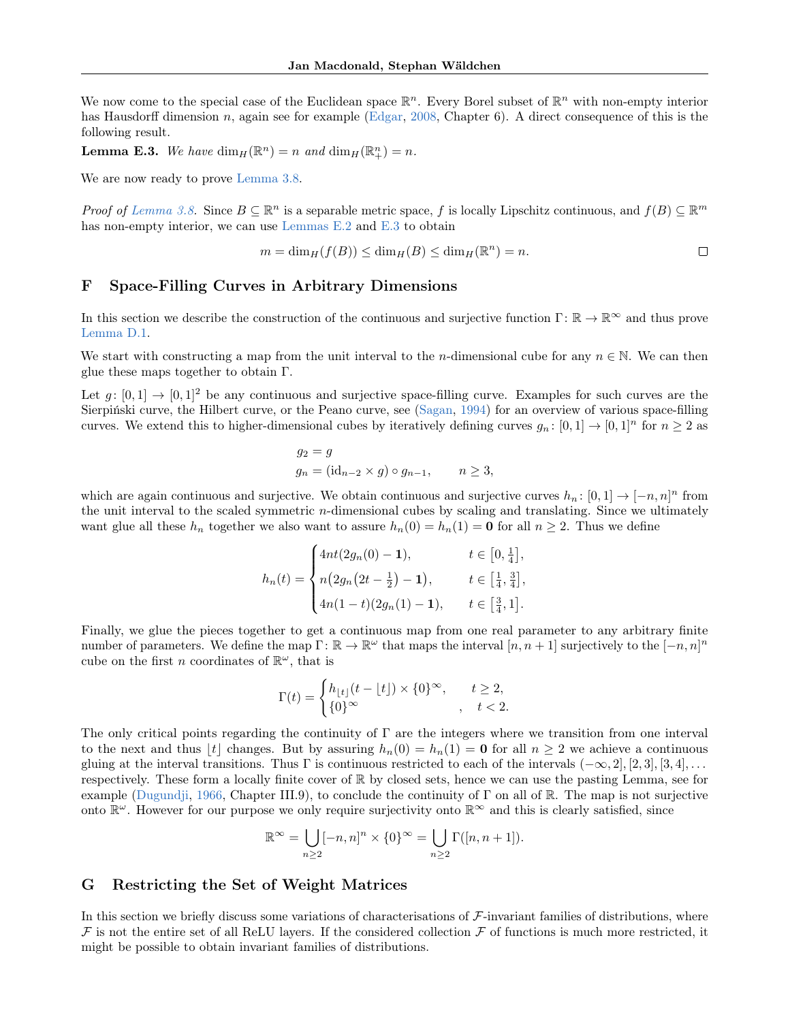We now come to the special case of the Euclidean space  $\mathbb{R}^n$ . Every Borel subset of  $\mathbb{R}^n$  with non-empty interior has Hausdorff dimension n, again see for example [\(Edgar,](#page-8-19) [2008,](#page-8-19) Chapter 6). A direct consequence of this is the following result.

<span id="page-24-2"></span>**Lemma E.3.** We have  $\dim_H(\mathbb{R}^n) = n$  and  $\dim_H(\mathbb{R}^n_+) = n$ .

We are now ready to prove [Lemma 3.8.](#page-5-4)

*Proof of [Lemma 3.8.](#page-5-4)* Since  $B \subseteq \mathbb{R}^n$  is a separable metric space, f is locally Lipschitz continuous, and  $f(B) \subseteq \mathbb{R}^m$ has non-empty interior, we can use [Lemmas E.2](#page-23-2) and [E.3](#page-24-2) to obtain

$$
m = \dim_H(f(B)) \le \dim_H(B) \le \dim_H(\mathbb{R}^n) = n.
$$

### <span id="page-24-1"></span>F Space-Filling Curves in Arbitrary Dimensions

In this section we describe the construction of the continuous and surjective function  $\Gamma: \mathbb{R} \to \mathbb{R}^{\infty}$  and thus prove [Lemma D.1.](#page-22-0)

We start with constructing a map from the unit interval to the *n*-dimensional cube for any  $n \in \mathbb{N}$ . We can then glue these maps together to obtain Γ.

Let  $g: [0,1] \rightarrow [0,1]^2$  be any continuous and surjective space-filling curve. Examples for such curves are the Sierpiński curve, the Hilbert curve, or the Peano curve, see [\(Sagan,](#page-9-16) [1994\)](#page-9-16) for an overview of various space-filling curves. We extend this to higher-dimensional cubes by iteratively defining curves  $g_n : [0,1] \to [0,1]^n$  for  $n \geq 2$  as

$$
g_2 = g
$$
  
 
$$
g_n = (\mathrm{id}_{n-2} \times g) \circ g_{n-1}, \qquad n \ge 3,
$$

which are again continuous and surjective. We obtain continuous and surjective curves  $h_n: [0,1] \to [-n,n]^n$  from the unit interval to the scaled symmetric n-dimensional cubes by scaling and translating. Since we ultimately want glue all these  $h_n$  together we also want to assure  $h_n(0) = h_n(1) = 0$  for all  $n \geq 2$ . Thus we define

$$
h_n(t) = \begin{cases} 4nt(2g_n(0) - 1), & t \in [0, \frac{1}{4}], \\ n(2g_n(2t - \frac{1}{2}) - 1), & t \in [\frac{1}{4}, \frac{3}{4}], \\ 4n(1-t)(2g_n(1) - 1), & t \in [\frac{3}{4}, 1]. \end{cases}
$$

Finally, we glue the pieces together to get a continuous map from one real parameter to any arbitrary finite number of parameters. We define the map  $\Gamma: \mathbb{R} \to \mathbb{R}^{\omega}$  that maps the interval  $[n, n+1]$  surjectively to the  $[-n, n]^n$ cube on the first n coordinates of  $\mathbb{R}^{\omega}$ , that is

$$
\Gamma(t) = \begin{cases} h_{\lfloor t \rfloor}(t - \lfloor t \rfloor) \times \{0\}^{\infty}, & t \ge 2, \\ \{0\}^{\infty} & , t < 2. \end{cases}
$$

The only critical points regarding the continuity of Γ are the integers where we transition from one interval to the next and thus  $\lfloor t \rfloor$  changes. But by assuring  $h_n(0) = h_n(1) = 0$  for all  $n \geq 2$  we achieve a continuous gluing at the interval transitions. Thus Γ is continuous restricted to each of the intervals  $(-\infty, 2]$ ,  $[2, 3]$ ,  $[3, 4]$ , ... respectively. These form a locally finite cover of R by closed sets, hence we can use the pasting Lemma, see for example [\(Dugundji,](#page-8-20) [1966,](#page-8-20) Chapter III.9), to conclude the continuity of  $\Gamma$  on all of  $\mathbb R$ . The map is not surjective onto  $\mathbb{R}^{\omega}$ . However for our purpose we only require surjectivity onto  $\mathbb{R}^{\infty}$  and this is clearly satisfied, since

$$
\mathbb{R}^{\infty} = \bigcup_{n \geq 2} [-n, n]^n \times \{0\}^{\infty} = \bigcup_{n \geq 2} \Gamma([n, n+1]).
$$

## <span id="page-24-0"></span>G Restricting the Set of Weight Matrices

In this section we briefly discuss some variations of characterisations of  $\mathcal{F}\text{-invariant families}$  of distributions, where  $\mathcal F$  is not the entire set of all ReLU layers. If the considered collection  $\mathcal F$  of functions is much more restricted, it might be possible to obtain invariant families of distributions.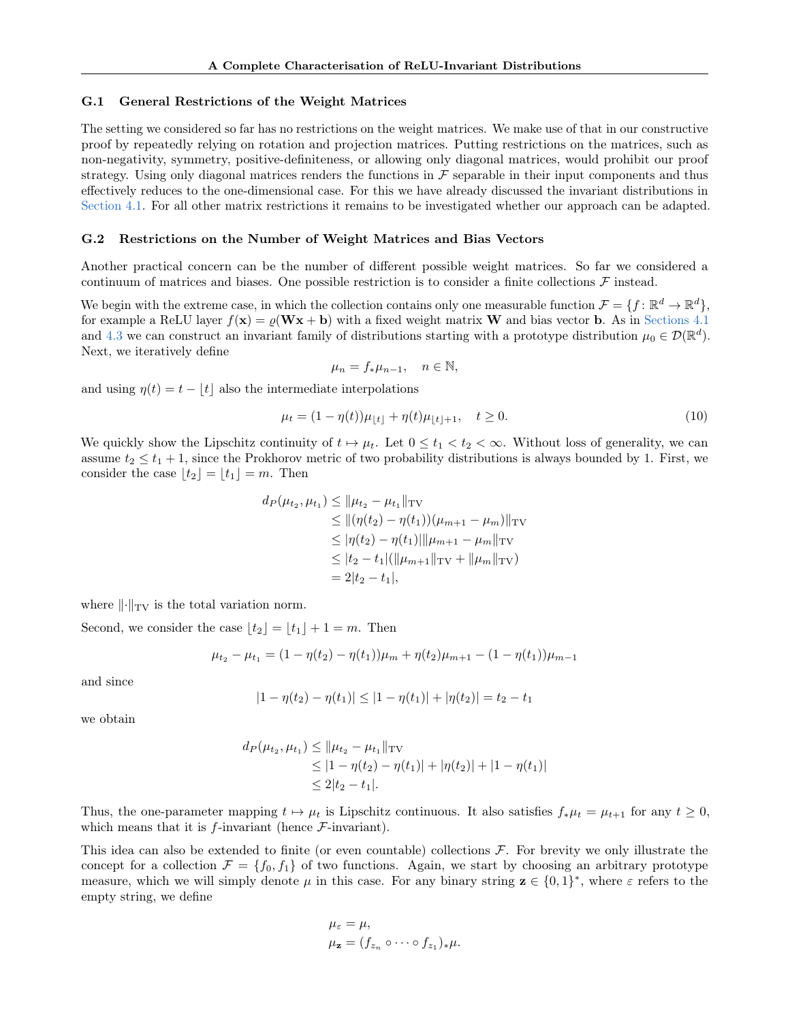#### G.1 General Restrictions of the Weight Matrices

The setting we considered so far has no restrictions on the weight matrices. We make use of that in our constructive proof by repeatedly relying on rotation and projection matrices. Putting restrictions on the matrices, such as non-negativity, symmetry, positive-definiteness, or allowing only diagonal matrices, would prohibit our proof strategy. Using only diagonal matrices renders the functions in  $\mathcal F$  separable in their input components and thus effectively reduces to the one-dimensional case. For this we have already discussed the invariant distributions in [Section 4.1.](#page-5-5) For all other matrix restrictions it remains to be investigated whether our approach can be adapted.

#### G.2 Restrictions on the Number of Weight Matrices and Bias Vectors

Another practical concern can be the number of different possible weight matrices. So far we considered a continuum of matrices and biases. One possible restriction is to consider a finite collections  $\mathcal F$  instead.

We begin with the extreme case, in which the collection contains only one measurable function  $\mathcal{F} = \{f : \mathbb{R}^d \to \mathbb{R}^d\}$ , for example a ReLU layer  $f(\mathbf{x}) = \rho(\mathbf{W}\mathbf{x} + \mathbf{b})$  with a fixed weight matrix **W** and bias vector **b**. As in [Sections 4.1](#page-5-5) and [4.3](#page-6-1) we can construct an invariant family of distributions starting with a prototype distribution  $\mu_0 \in \mathcal{D}(\mathbb{R}^d)$ . Next, we iteratively define

$$
\mu_n = f_* \mu_{n-1}, \quad n \in \mathbb{N},
$$

and using  $\eta(t) = t - \lfloor t \rfloor$  also the intermediate interpolations

<span id="page-25-0"></span>
$$
\mu_t = (1 - \eta(t))\mu_{|t|} + \eta(t)\mu_{|t|+1}, \quad t \ge 0.
$$
\n(10)

We quickly show the Lipschitz continuity of  $t \mapsto \mu_t$ . Let  $0 \le t_1 < t_2 < \infty$ . Without loss of generality, we can assume  $t_2 \leq t_1 + 1$ , since the Prokhorov metric of two probability distributions is always bounded by 1. First, we consider the case  $\lfloor t_2 \rfloor = \lfloor t_1 \rfloor = m$ . Then

$$
d_P(\mu_{t_2}, \mu_{t_1}) \leq \|\mu_{t_2} - \mu_{t_1}\|_{TV}
$$
  
\n
$$
\leq \|(\eta(t_2) - \eta(t_1))(\mu_{m+1} - \mu_m)\|_{TV}
$$
  
\n
$$
\leq |\eta(t_2) - \eta(t_1)| \|\mu_{m+1} - \mu_m\|_{TV}
$$
  
\n
$$
\leq |t_2 - t_1| (\|\mu_{m+1}\|_{TV} + \|\mu_m\|_{TV})
$$
  
\n
$$
= 2|t_2 - t_1|,
$$

where  $\lVert \cdot \rVert_{TV}$  is the total variation norm.

Second, we consider the case  $|t_2| = |t_1| + 1 = m$ . Then

$$
\mu_{t_2} - \mu_{t_1} = (1 - \eta(t_2) - \eta(t_1))\mu_m + \eta(t_2)\mu_{m+1} - (1 - \eta(t_1))\mu_{m-1}
$$

and since

$$
|1 - \eta(t_2) - \eta(t_1)| \le |1 - \eta(t_1)| + |\eta(t_2)| = t_2 - t_1
$$

we obtain

$$
d_P(\mu_{t_2}, \mu_{t_1}) \leq \|\mu_{t_2} - \mu_{t_1}\|_{TV}
$$
  
\n
$$
\leq |1 - \eta(t_2) - \eta(t_1)| + |\eta(t_2)| + |1 - \eta(t_1)|
$$
  
\n
$$
\leq 2|t_2 - t_1|.
$$

Thus, the one-parameter mapping  $t \mapsto \mu_t$  is Lipschitz continuous. It also satisfies  $f_*\mu_t = \mu_{t+1}$  for any  $t \geq 0$ , which means that it is  $f$ -invariant (hence  $\mathcal{F}$ -invariant).

This idea can also be extended to finite (or even countable) collections  $F$ . For brevity we only illustrate the concept for a collection  $\mathcal{F} = \{f_0, f_1\}$  of two functions. Again, we start by choosing an arbitrary prototype measure, which we will simply denote  $\mu$  in this case. For any binary string  $\mathbf{z} \in \{0,1\}^*$ , where  $\varepsilon$  refers to the empty string, we define

$$
\mu_{\varepsilon} = \mu,
$$
  

$$
\mu_{\mathbf{z}} = (f_{z_n} \circ \cdots \circ f_{z_1})_* \mu.
$$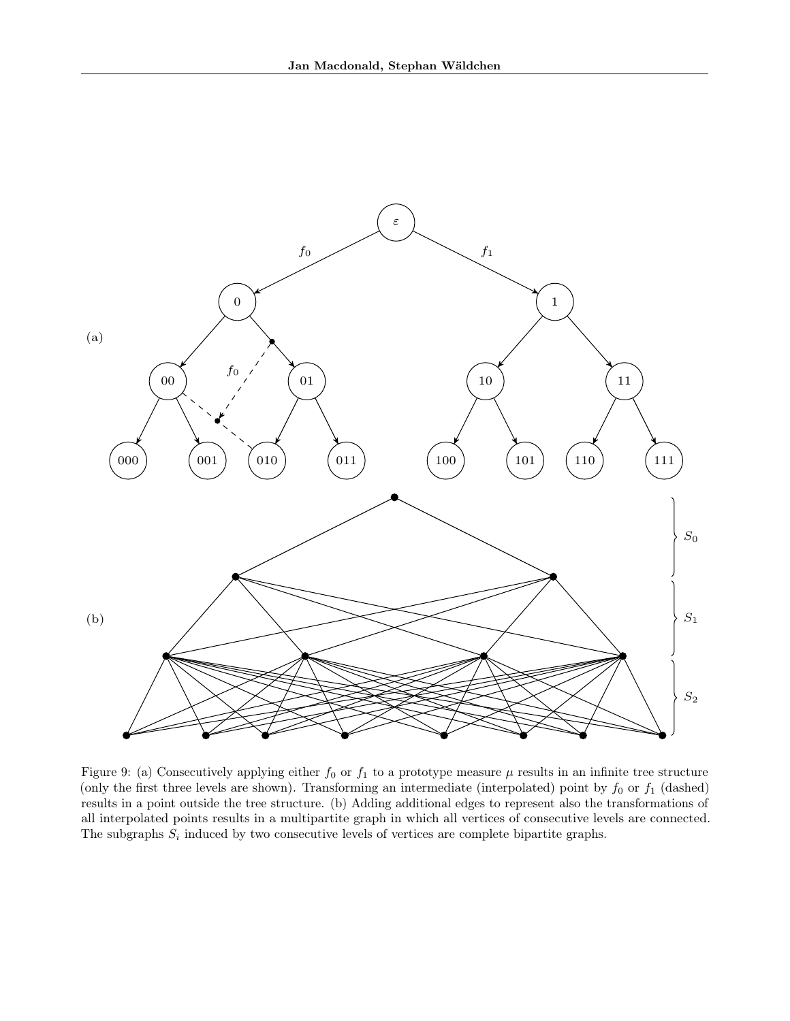

<span id="page-26-0"></span>Figure 9: (a) Consecutively applying either  $f_0$  or  $f_1$  to a prototype measure  $\mu$  results in an infinite tree structure (only the first three levels are shown). Transforming an intermediate (interpolated) point by  $f_0$  or  $f_1$  (dashed) results in a point outside the tree structure. (b) Adding additional edges to represent also the transformations of all interpolated points results in a multipartite graph in which all vertices of consecutive levels are connected. The subgraphs  $S_i$  induced by two consecutive levels of vertices are complete bipartite graphs.